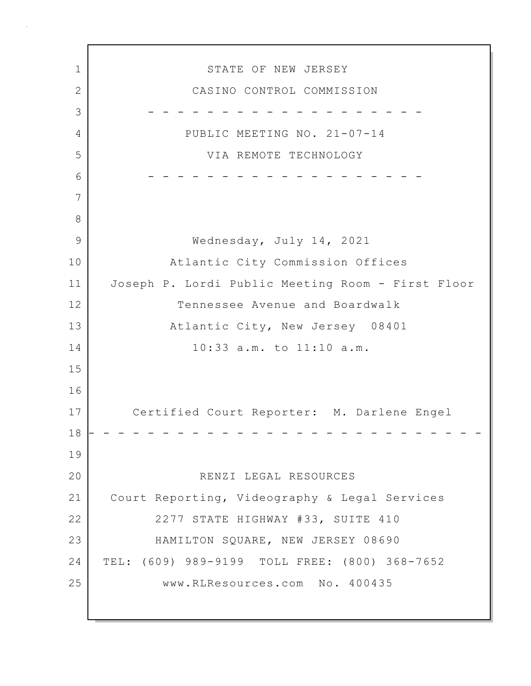1 STATE OF NEW JERSEY 2 CASINO CONTROL COMMISSION 3 - - - - - - - - - - - - - - - - - - - 4 PUBLIC MEETING NO. 21-07-14 5 VIA REMOTE TECHNOLOGY 6 - - - - - - - - - - - - - - - - - - - 7 8 9 Wednesday, July 14, 2021 10 Atlantic City Commission Offices 11 Joseph P. Lordi Public Meeting Room - First Floor 12 Tennessee Avenue and Boardwalk 13 Atlantic City, New Jersey 08401 14 10:33 a.m. to 11:10 a.m. 15 16 17 Certified Court Reporter: M. Darlene Engel 18 - - - - - - - - - - - - - - - - - - - - - - - - - - - 19 20 RENZI LEGAL RESOURCES 21 Court Reporting, Videography & Legal Services 22 2277 STATE HIGHWAY #33, SUITE 410 23 HAMILTON SQUARE, NEW JERSEY 08690 24 TEL: (609) 989-9199 TOLL FREE: (800) 368-7652 25 www.RLResources.com No. 400435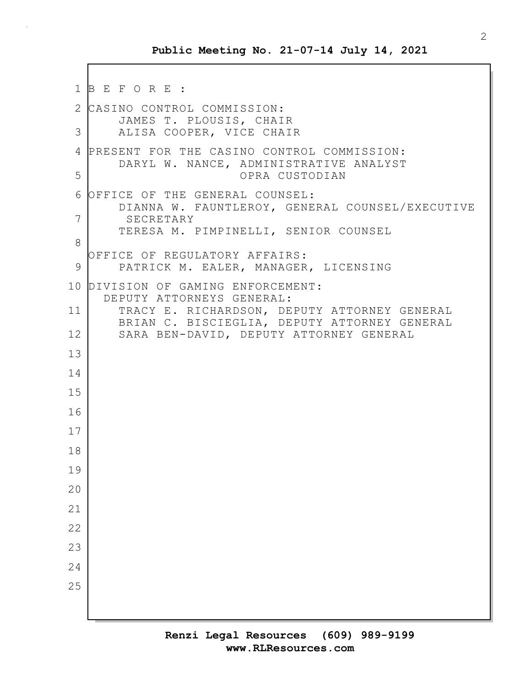```
1 B E F O R E :
2 CASINO CONTROL COMMISSION:
       JAMES T. PLOUSIS, CHAIR
3 ALISA COOPER, VICE CHAIR
4 PRESENT FOR THE CASINO CONTROL COMMISSION:
       DARYL W. NANCE, ADMINISTRATIVE ANALYST
5 OPRA CUSTODIAN
 6 OFFICE OF THE GENERAL COUNSEL:
       DIANNA W. FAUNTLEROY, GENERAL COUNSEL/EXECUTIVE
7 SECRETARY
       TERESA M. PIMPINELLI, SENIOR COUNSEL
8
  OFFICE OF REGULATORY AFFAIRS:
 9 PATRICK M. EALER, MANAGER, LICENSING
10 DIVISION OF GAMING ENFORCEMENT:
     DEPUTY ATTORNEYS GENERAL:
11 TRACY E. RICHARDSON, DEPUTY ATTORNEY GENERAL
       BRIAN C. BISCIEGLIA, DEPUTY ATTORNEY GENERAL
12 SARA BEN-DAVID, DEPUTY ATTORNEY GENERAL
13
14
15
16
17
18
19
20
21
22
23
24
25
```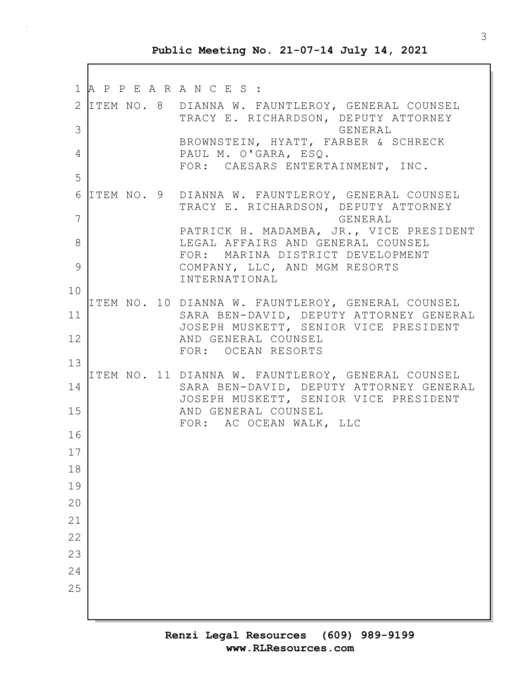1 A P P E A R A N C E S : 2 ITEM NO. 8 DIANNA W. FAUNTLEROY, GENERAL COUNSEL TRACY E. RICHARDSON, DEPUTY ATTORNEY 3 GENERAL BROWNSTEIN, HYATT, FARBER & SCHRECK 4 PAUL M. O'GARA, ESQ. FOR: CAESARS ENTERTAINMENT, INC. 5 6 ITEM NO. 9 DIANNA W. FAUNTLEROY, GENERAL COUNSEL TRACY E. RICHARDSON, DEPUTY ATTORNEY 7 GENERAL PATRICK H. MADAMBA, JR., VICE PRESIDENT 8 LEGAL AFFAIRS AND GENERAL COUNSEL FOR: MARINA DISTRICT DEVELOPMENT 9 COMPANY, LLC, AND MGM RESORTS INTERNATIONAL 10 ITEM NO. 10 DIANNA W. FAUNTLEROY, GENERAL COUNSEL 11 SARA BEN-DAVID, DEPUTY ATTORNEY GENERAL JOSEPH MUSKETT, SENIOR VICE PRESIDENT 12 AND GENERAL COUNSEL FOR: OCEAN RESORTS 13 ITEM NO. 11 DIANNA W. FAUNTLEROY, GENERAL COUNSEL 14 SARA BEN-DAVID, DEPUTY ATTORNEY GENERAL JOSEPH MUSKETT, SENIOR VICE PRESIDENT 15 AND GENERAL COUNSEL FOR: AC OCEAN WALK, LLC 16 17 18 19  $20$ 21 22 23 24 25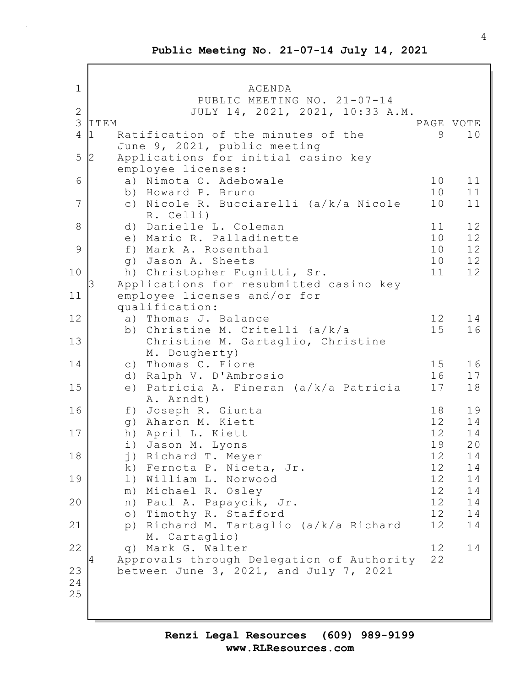1 AGENDA PUBLIC MEETING NO. 21-07-14 2 JULY 14, 2021, 2021, 10:33 A.M. 3 ITEM PAGE VOTE 4 1 Ratification of the minutes of the 9 10 June 9, 2021, public meeting 5 2 Applications for initial casino key employee licenses: 6 a) Nimota O. Adebowale 10 11 b) Howard P. Bruno 10 11 7 c) Nicole R. Bucciarelli (a/k/a Nicole 10 11 R. Celli) 8 d) Danielle L. Coleman 11 12 e) Mario R. Palladinette 10 12 9 f) Mark A. Rosenthal 10 12 g) Jason A. Sheets 10 12 10 h) Christopher Fugnitti, Sr. 11 12 Applications for resubmitted casino key 11 employee licenses and/or for qualification: 12 a) Thomas J. Balance 12 14 b) Christine M. Critelli (a/k/a 15 16 13 Christine M. Gartaglio, Christine M. Dougherty) 14 c) Thomas C. Fiore 15 16 d) Ralph V. D'Ambrosio 16 17 15 e) Patricia A. Fineran (a/k/a Patricia 17 18 A. Arndt) 16 f) Joseph R. Giunta 18 19 g) Aharon M. Kiett 12 14 17 h) April L. Kiett 12 14 i) Jason M. Lyons 19 20 18 i) Richard T. Meyer 12 14 k) Fernota P. Niceta, Jr. 12 14 19 1) William L. Norwood 12 14<br>m) Michael R. Oslev 12 14 m) Michael R. Osley 12 14 20 | n) Paul A. Papaycik, Jr. 12 14 o) Timothy R. Stafford 12 14 21 p) Richard M. Tartaglio (a/k/a Richard 12 14 M. Cartaglio) 22 | q) Mark G. Walter 12 14 4 Approvals through Delegation of Authority 22 23 between June 3, 2021, and July 7, 2021 24 25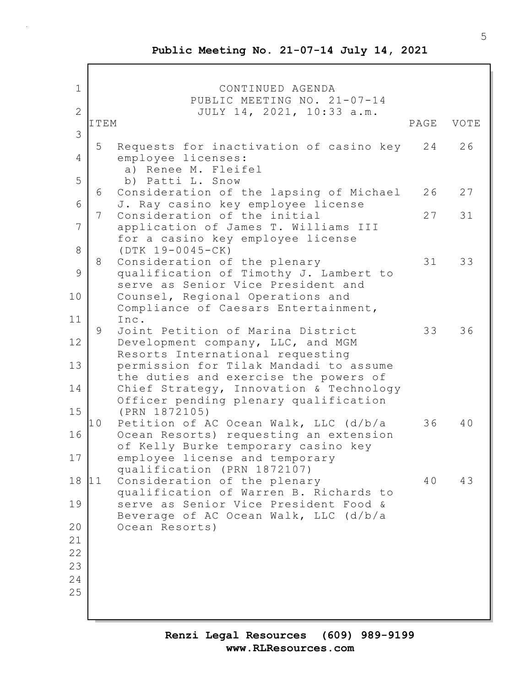1 CONTINUED AGENDA PUBLIC MEETING NO. 21-07-14 2 JULY 14, 2021, 10:33 a.m. ITEM PAGE VOTE 3 5 Requests for inactivation of casino key 24 26 4 employee licenses: a) Renee M. Fleifel 5 b) Patti L. Snow 6 Consideration of the lapsing of Michael 26 27 6 J. Ray casino key employee license 7 Consideration of the initial 27 31 7 application of James T. Williams III for a casino key employee license 8 (DTK 19-0045-CK) 8 Consideration of the plenary 31 33 9 qualification of Timothy J. Lambert to serve as Senior Vice President and 10 Counsel, Regional Operations and Compliance of Caesars Entertainment, 11 Inc. 9 Joint Petition of Marina District 33 36 12 Development company, LLC, and MGM Resorts International requesting 13 permission for Tilak Mandadi to assume the duties and exercise the powers of 14 Chief Strategy, Innovation & Technology Officer pending plenary qualification 15 (PRN 1872105) 10 Petition of AC Ocean Walk, LLC (d/b/a 36 40 16 Ocean Resorts) requesting an extension of Kelly Burke temporary casino key 17 employee license and temporary qualification (PRN 1872107) 18 11 Consideration of the plenary 40 43 qualification of Warren B. Richards to 19 serve as Senior Vice President Food & Beverage of AC Ocean Walk, LLC (d/b/a 20 Ocean Resorts) 21 22 23 24 25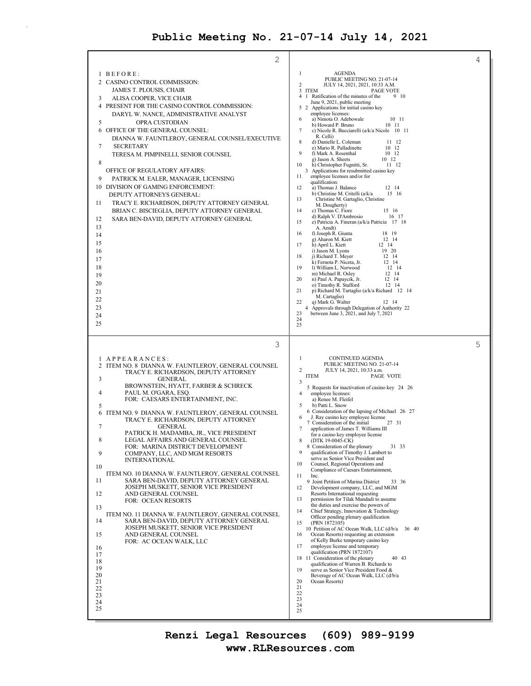$\bar{z}$ 

| 2                                                                                                                                                                                                                                                                                                                                                                                                                                                                                                                                                                                                                                                                                                                                                                                                                                                                                                                                                                                                                                                                           |                                                                                                                                                                                                                                                                                                                                                                                                                                                                                                                                                                                                                                                                                                                                                                                                                                                                                                                                                                                                                                                                                                                                                                                                                                                                                                                                                                                                                                                                                                                                                                                                                   | 4 |
|-----------------------------------------------------------------------------------------------------------------------------------------------------------------------------------------------------------------------------------------------------------------------------------------------------------------------------------------------------------------------------------------------------------------------------------------------------------------------------------------------------------------------------------------------------------------------------------------------------------------------------------------------------------------------------------------------------------------------------------------------------------------------------------------------------------------------------------------------------------------------------------------------------------------------------------------------------------------------------------------------------------------------------------------------------------------------------|-------------------------------------------------------------------------------------------------------------------------------------------------------------------------------------------------------------------------------------------------------------------------------------------------------------------------------------------------------------------------------------------------------------------------------------------------------------------------------------------------------------------------------------------------------------------------------------------------------------------------------------------------------------------------------------------------------------------------------------------------------------------------------------------------------------------------------------------------------------------------------------------------------------------------------------------------------------------------------------------------------------------------------------------------------------------------------------------------------------------------------------------------------------------------------------------------------------------------------------------------------------------------------------------------------------------------------------------------------------------------------------------------------------------------------------------------------------------------------------------------------------------------------------------------------------------------------------------------------------------|---|
| 1 BEFORE:<br>2 CASINO CONTROL COMMISSION:<br>JAMES T. PLOUSIS, CHAIR<br>3<br>ALISA COOPER, VICE CHAIR<br>4 PRESENT FOR THE CASINO CONTROL COMMISSION:<br>DARYL W. NANCE, ADMINISTRATIVE ANALYST<br>5<br>OPRA CUSTODIAN<br>OFFICE OF THE GENERAL COUNSEL:<br>6<br>DIANNA W. FAUNTLEROY, GENERAL COUNSEL/EXECUTIVE<br>7<br><b>SECRETARY</b><br>TERESA M. PIMPINELLI, SENIOR COUNSEL<br>8<br>OFFICE OF REGULATORY AFFAIRS:<br>9<br>PATRICK M. EALER, MANAGER, LICENSING<br>10 DIVISION OF GAMING ENFORCEMENT:<br>DEPUTY ATTORNEYS GENERAL:<br>11<br>TRACY E. RICHARDSON, DEPUTY ATTORNEY GENERAL<br>BRIAN C. BISCIEGLIA, DEPUTY ATTORNEY GENERAL<br>SARA BEN-DAVID, DEPUTY ATTORNEY GENERAL<br>12<br>13<br>14<br>15<br>16<br>17<br>18<br>19<br>20<br>21<br>22<br>23<br>24<br>25                                                                                                                                                                                                                                                                                                | 1<br><b>AGENDA</b><br>PUBLIC MEETING NO. 21-07-14<br>2<br>JULY 14, 2021, 2021, 10:33 A.M.<br>3 ITEM<br>PAGE VOTE<br>4 1 Ratification of the minutes of the<br>9 10<br>June 9, 2021, public meeting<br>5 2 Applications for initial casino key<br>employee licenses:<br>a) Nimota O. Adebowale<br>10 11<br>6<br>b) Howard P. Bruno<br>10 11<br>7<br>c) Nicole R. Bucciarelli (a/k/a Nicole 10 11<br>R. Celli)<br>8<br>d) Danielle L. Coleman<br>11 12<br>e) Mario R. Palladinette<br>10 12<br>9<br>f) Mark A. Rosenthal<br>10 12<br>g) Jason A. Sheets<br>10 12<br>h) Christopher Fugnitti, Sr.<br>10<br>11 12<br>3 Applications for resubmitted casino key<br>employee licenses and/or for<br>11<br>qualification:<br>a) Thomas J. Balance<br>12<br>12 14<br>b) Christine M. Critelli (a/k/a<br>15 16<br>13<br>Christine M. Gartaglio, Christine<br>M. Dougherty)<br>14<br>c) Thomas C. Fiore<br>15 16<br>d) Ralph V. D'Ambrosio<br>16 17<br>15<br>e) Patricia A. Fineran (a/k/a Patricia 17 18<br>A. Arndt)<br>f) Joseph R. Giunta<br>16<br>18 19<br>g) Aharon M. Kiett<br>12 14<br>17<br>h) April L. Kiett<br>12 14<br>i) Jason M. Lyons<br>19 20<br>18<br>j) Richard T. Meyer<br>12 14<br>k) Fernota P. Niceta, Jr.<br>12 14<br>19<br>1) William L. Norwood<br>12 14<br>m) Michael R. Osley<br>12 14<br>20<br>n) Paul A. Papaycik, Jr.<br>12 14<br>o) Timothy R. Stafford<br>12 14<br>p) Richard M. Tartaglio (a/k/a Richard 12 14<br>21<br>M. Cartaglio)<br>q) Mark G. Walter<br>22<br>12 14<br>4 Approvals through Delegation of Authority 22<br>between June 3, $2021$ , and July 7, 2021<br>23<br>24<br>25 |   |
| 3<br>1 APPEARANCES:<br>2 ITEM NO. 8 DIANNA W. FAUNTLEROY, GENERAL COUNSEL<br>TRACY E. RICHARDSON, DEPUTY ATTORNEY<br>3<br><b>GENERAL</b><br>BROWNSTEIN, HYATT, FARBER & SCHRECK<br>$\overline{4}$<br>PAUL M. O'GARA, ESQ.<br>FOR: CAESARS ENTERTAINMENT, INC.<br>5<br>6 ITEM NO. 9 DIANNA W. FAUNTLEROY, GENERAL COUNSEL<br>TRACY E. RICHARDSON, DEPUTY ATTORNEY<br>$\tau$<br><b>GENERAL</b><br>PATRICK H. MADAMBA, JR., VICE PRESIDENT<br>8<br>LEGAL AFFAIRS AND GENERAL COUNSEL<br>FOR: MARINA DISTRICT DEVELOPMENT<br>9<br>COMPANY, LLC, AND MGM RESORTS<br><b>INTERNATIONAL</b><br>10<br>ITEM NO. 10 DIANNA W. FAUNTLEROY, GENERAL COUNSEL<br>11<br>SARA BEN-DAVID, DEPUTY ATTORNEY GENERAL<br>JOSEPH MUSKETT, SENIOR VICE PRESIDENT<br>12<br>AND GENERAL COUNSEL<br><b>FOR: OCEAN RESORTS</b><br>13<br>ITEM NO. 11 DIANNA W. FAUNTLEROY, GENERAL COUNSEL<br>14<br>SARA BEN-DAVID, DEPUTY ATTORNEY GENERAL<br>JOSEPH MUSKETT, SENIOR VICE PRESIDENT<br>15<br>AND GENERAL COUNSEL<br>FOR: AC OCEAN WALK, LLC<br>16<br>17<br>18<br>19<br>20<br>21<br>22<br>23<br>24<br>25 | 1<br>CONTINUED AGENDA<br>PUBLIC MEETING NO. 21-07-14<br>$\overline{c}$<br>JULY 14, 2021, 10:33 a.m.<br><b>ITEM</b><br>PAGE VOTE<br>3<br>5 Requests for inactivation of casino key 24 26<br>employee licenses:<br>4<br>a) Renee M. Fleifel<br>5<br>b) Patti L. Snow<br>6 Consideration of the lapsing of Michael 26 27<br>J. Ray casino key employee license<br>7 Consideration of the initial<br>27 31<br>application of James T. Williams III<br>7<br>for a casino key employee license<br>$(DTK 19-0045-CK)$<br>8<br>8 Consideration of the plenary<br>31 33<br>qualification of Timothy J. Lambert to<br>9<br>serve as Senior Vice President and<br>10<br>Counsel, Regional Operations and<br>Compliance of Caesars Entertainment,<br>11<br>Inc.<br>9 Joint Petition of Marina District<br>33 36<br>12<br>Development company, LLC, and MGM<br>Resorts International requesting<br>13<br>permission for Tilak Mandadi to assume<br>the duties and exercise the powers of<br>14<br>Chief Strategy, Innovation & Technology<br>Officer pending plenary qualification<br>(PRN 1872105)<br>15<br>10 Petition of AC Ocean Walk, LLC (d/b/a 36 40<br>16<br>Ocean Resorts) requesting an extension<br>of Kelly Burke temporary casino key<br>17<br>employee license and temporary<br>qualification (PRN 1872107)<br>18 11 Consideration of the plenary<br>40 43<br>qualification of Warren B. Richards to<br>19<br>serve as Senior Vice President Food &<br>Beverage of AC Ocean Walk, LLC (d/b/a<br>20<br>Ocean Resorts)<br>21<br>22<br>23<br>24<br>25                                                               | 5 |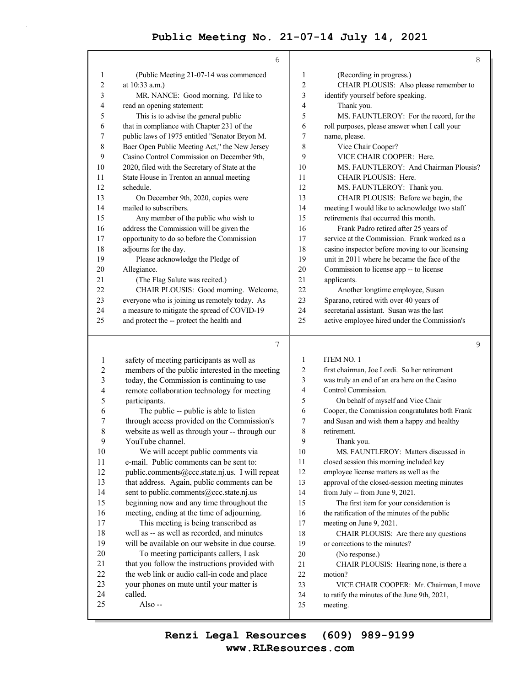|    | 6                                                                                |                | 8                                                                             |
|----|----------------------------------------------------------------------------------|----------------|-------------------------------------------------------------------------------|
| 1  | (Public Meeting 21-07-14 was commenced                                           | 1              | (Recording in progress.)                                                      |
| 2  | at 10:33 a.m.)                                                                   | $\overline{c}$ | CHAIR PLOUSIS: Also please remember to                                        |
| 3  | MR. NANCE: Good morning. I'd like to                                             | 3              | identify yourself before speaking.                                            |
| 4  | read an opening statement:                                                       | 4              | Thank you.                                                                    |
| 5  | This is to advise the general public                                             | 5              | MS. FAUNTLEROY: For the record, for the                                       |
| 6  | that in compliance with Chapter 231 of the                                       | 6              | roll purposes, please answer when I call your                                 |
| 7  | public laws of 1975 entitled "Senator Bryon M.                                   | 7              | name, please.                                                                 |
| 8  | Baer Open Public Meeting Act," the New Jersey                                    | 8              | Vice Chair Cooper?                                                            |
| 9  | Casino Control Commission on December 9th,                                       | 9              | VICE CHAIR COOPER: Here.                                                      |
| 10 | 2020, filed with the Secretary of State at the                                   | 10             | MS. FAUNTLEROY: And Chairman Plousis?                                         |
| 11 | State House in Trenton an annual meeting                                         | 11             | CHAIR PLOUSIS: Here.                                                          |
| 12 | schedule.                                                                        | 12             | MS. FAUNTLEROY: Thank you.                                                    |
| 13 | On December 9th, 2020, copies were                                               | 13             | CHAIR PLOUSIS: Before we begin, the                                           |
| 14 | mailed to subscribers.                                                           | 14             | meeting I would like to acknowledge two staff                                 |
| 15 | Any member of the public who wish to                                             | 15             | retirements that occurred this month.                                         |
| 16 | address the Commission will be given the                                         | 16             | Frank Padro retired after 25 years of                                         |
| 17 | opportunity to do so before the Commission                                       | 17             | service at the Commission. Frank worked as a                                  |
| 18 | adjourns for the day.                                                            | 18             | casino inspector before moving to our licensing                               |
| 19 | Please acknowledge the Pledge of                                                 | 19             | unit in 2011 where he became the face of the                                  |
| 20 | Allegiance.                                                                      | 20             | Commission to license app -- to license                                       |
| 21 | (The Flag Salute was recited.)                                                   | 21             | applicants.                                                                   |
| 22 | CHAIR PLOUSIS: Good morning. Welcome,                                            | 22             | Another longtime employee, Susan                                              |
| 23 | everyone who is joining us remotely today. As                                    | 23             | Sparano, retired with over 40 years of                                        |
| 24 | a measure to mitigate the spread of COVID-19                                     | 24             | secretarial assistant. Susan was the last                                     |
| 25 | and protect the -- protect the health and                                        | 25             | active employee hired under the Commission's                                  |
|    | 7                                                                                |                | 9                                                                             |
| 1  | safety of meeting participants as well as                                        | 1              | <b>ITEM NO. 1</b>                                                             |
|    | $\mathbf{A}$ and $\mathbf{A}$ and $\mathbf{A}$ and $\mathbf{A}$ and $\mathbf{A}$ | $\sim$         | $\mathbf{r}$ $\mathbf{r}$ $\mathbf{r}$ $\mathbf{r}$ $\mathbf{r}$ $\mathbf{r}$ |

| Ι.             | safety of meeting participants as well as       | $\perp$        | LLEM NO. L                                      |
|----------------|-------------------------------------------------|----------------|-------------------------------------------------|
| 2              | members of the public interested in the meeting | 2              | first chairman, Joe Lordi. So her retirement    |
| 3              | today, the Commission is continuing to use      | 3              | was truly an end of an era here on the Casino   |
| $\overline{4}$ | remote collaboration technology for meeting     | $\overline{4}$ | Control Commission.                             |
| 5              | participants.                                   | 5              | On behalf of myself and Vice Chair              |
| 6              | The public -- public is able to listen          | 6              | Cooper, the Commission congratulates both Frank |
| 7              | through access provided on the Commission's     | 7              | and Susan and wish them a happy and healthy     |
| 8              | website as well as through your -- through our  | 8              | retirement.                                     |
| 9              | YouTube channel.                                | 9              | Thank you.                                      |
| 10             | We will accept public comments via              | 10             | MS. FAUNTLEROY: Matters discussed in            |
| 11             | e-mail. Public comments can be sent to:         | 11             | closed session this morning included key        |
| 12             | public.comments@ccc.state.nj.us. I will repeat  | 12             | employee license matters as well as the         |
| 13             | that address. Again, public comments can be     | 13             | approval of the closed-session meeting minutes  |
| 14             | sent to public.comments@ccc.state.nj.us         | 14             | from July -- from June 9, 2021.                 |
| 15             | beginning now and any time throughout the       | 15             | The first item for your consideration is        |
| 16             | meeting, ending at the time of adjourning.      | 16             | the ratification of the minutes of the public   |
| 17             | This meeting is being transcribed as            | 17             | meeting on June 9, 2021.                        |
| 18             | well as -- as well as recorded, and minutes     | 18             | CHAIR PLOUSIS: Are there any questions          |
| 19             | will be available on our website in due course. | 19             | or corrections to the minutes?                  |
| 20             | To meeting participants callers, I ask          | 20             | (No response.)                                  |
| 21             | that you follow the instructions provided with  | 21             | CHAIR PLOUSIS: Hearing none, is there a         |
| 22             | the web link or audio call-in code and place    | 22             | motion?                                         |
| 23             | your phones on mute until your matter is        | 23             | VICE CHAIR COOPER: Mr. Chairman, I move         |
| 24             | called.                                         | 24             | to ratify the minutes of the June 9th, 2021,    |
| 25             | Also $-$                                        | 25             | meeting.                                        |
|                |                                                 |                |                                                 |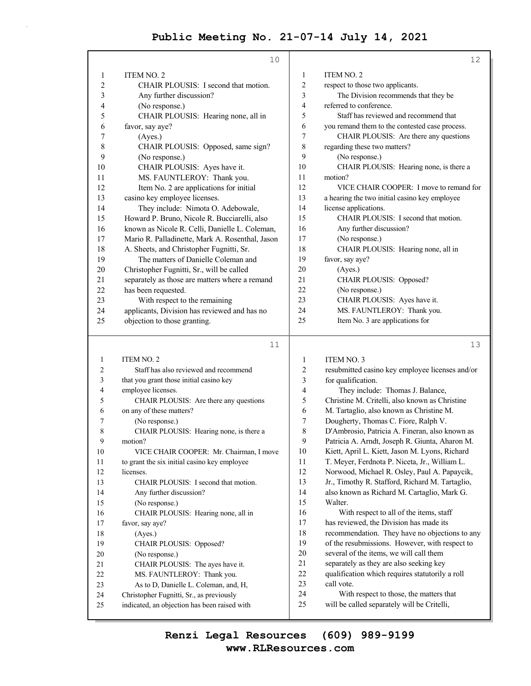|                | 10                                              |                | 12                                             |
|----------------|-------------------------------------------------|----------------|------------------------------------------------|
| 1              | <b>ITEM NO. 2</b>                               | 1              | ITEM NO. 2                                     |
| $\overline{2}$ | CHAIR PLOUSIS: I second that motion.            | $\overline{c}$ | respect to those two applicants.               |
| 3              | Any further discussion?                         | 3              | The Division recommends that they be           |
| 4              | (No response.)                                  | 4              | referred to conference.                        |
| 5              | CHAIR PLOUSIS: Hearing none, all in             | 5              | Staff has reviewed and recommend that          |
| 6              | favor, say aye?                                 | 6              | you remand them to the contested case process. |
| 7              | (Ayes.)                                         | 7              | CHAIR PLOUSIS: Are there any questions         |
| 8              | CHAIR PLOUSIS: Opposed, same sign?              | 8              | regarding these two matters?                   |
| 9              | (No response.)                                  | 9              | (No response.)                                 |
| 10             | CHAIR PLOUSIS: Ayes have it.                    | 10             | CHAIR PLOUSIS: Hearing none, is there a        |
| 11             | MS. FAUNTLEROY: Thank you.                      | 11             | motion?                                        |
| 12             | Item No. 2 are applications for initial         | 12             | VICE CHAIR COOPER: I move to remand for        |
| 13             | casino key employee licenses.                   | 13             | a hearing the two initial casino key employee  |
| 14             | They include: Nimota O. Adebowale,              | 14             | license applications.                          |
| 15             | Howard P. Bruno, Nicole R. Bucciarelli, also    | 15             | CHAIR PLOUSIS: I second that motion.           |
| 16             | known as Nicole R. Celli, Danielle L. Coleman,  | 16             | Any further discussion?                        |
| 17             | Mario R. Palladinette, Mark A. Rosenthal, Jason | 17             | (No response.)                                 |
| 18             | A. Sheets, and Christopher Fugnitti, Sr.        | 18             | CHAIR PLOUSIS: Hearing none, all in            |
| 19             | The matters of Danielle Coleman and             | 19             | favor, say aye?                                |
| 20             | Christopher Fugnitti, Sr., will be called       | 20             | (Ayes.)                                        |
| 21             | separately as those are matters where a remand  | 21             | CHAIR PLOUSIS: Opposed?                        |
| 22             | has been requested.                             | 22             | (No response.)                                 |
| 23             | With respect to the remaining                   | 23             | CHAIR PLOUSIS: Ayes have it.                   |
| 24             | applicants, Division has reviewed and has no    | 24             | MS. FAUNTLEROY: Thank you.                     |
| 25             | objection to those granting.                    | 25             | Item No. 3 are applications for                |
|                |                                                 |                |                                                |

#### 11

13

1 **ITEM NO. 2** 2 Staff has also reviewed and recommend 3 that you grant those initial casino key 4 employee licenses. 5 CHAIR PLOUSIS: Are there any questions 6 on any of these matters? 7 (No response.) 8 CHAIR PLOUSIS: Hearing none, is there a 9 motion? 10 VICE CHAIR COOPER: Mr. Chairman, I move 11 to grant the six initial casino key employee 12 licenses. 13 CHAIR PLOUSIS: I second that motion. 14 Any further discussion? 15 (No response.) 16 CHAIR PLOUSIS: Hearing none, all in 17 favor, say aye? 18 (Ayes.) 19 CHAIR PLOUSIS: Opposed? 20 (No response.) 21 CHAIR PLOUSIS: The ayes have it. 22 MS. FAUNTLEROY: Thank you. 23 As to D, Danielle L. Coleman, and, H, 24 Christopher Fugnitti, Sr., as previously 25 indicated, an objection has been raised with 1 ITEM NO. 3 2 resubmitted casino key employee licenses and/or 3 for qualification. 4 They include: Thomas J. Balance, 5 Christine M. Critelli, also known as Christine 6 M. Tartaglio, also known as Christine M. 7 Dougherty, Thomas C. Fiore, Ralph V. 8 D'Ambrosio, Patricia A. Fineran, also known as 9 Patricia A. Arndt, Joseph R. Giunta, Aharon M. 10 Kiett, April L. Kiett, Jason M. Lyons, Richard 11 T. Meyer, Ferdnota P. Niceta, Jr., William L. 12 Norwood, Michael R. Osley, Paul A. Papaycik, 13 Jr., Timothy R. Stafford, Richard M. Tartaglio, 14 also known as Richard M. Cartaglio, Mark G. 15 Walter. 16 With respect to all of the items, staff 17 has reviewed, the Division has made its 18 recommendation. They have no objections to any 19 of the resubmissions. However, with respect to 20 several of the items, we will call them 21 separately as they are also seeking key 22 qualification which requires statutorily a roll 23 call vote. 24 With respect to those, the matters that 25 will be called separately will be Critelli,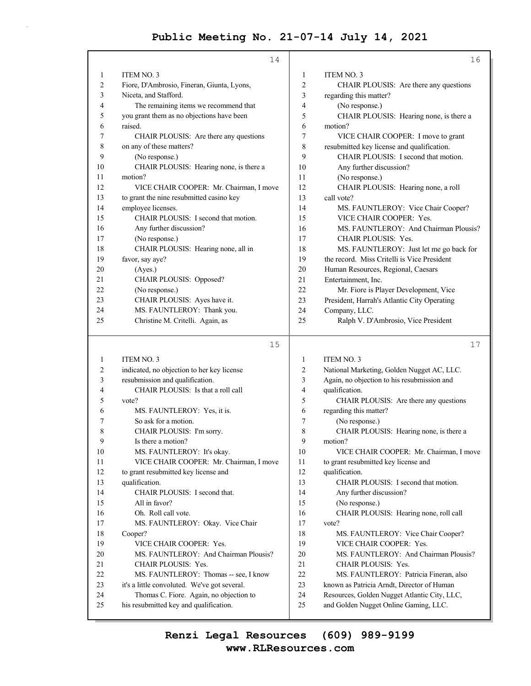|    | 14                                           |    | 16                                          |
|----|----------------------------------------------|----|---------------------------------------------|
| 1  | ITEM NO. 3                                   | 1  | <b>ITEM NO. 3</b>                           |
| 2  | Fiore, D'Ambrosio, Fineran, Giunta, Lyons,   | 2  | CHAIR PLOUSIS: Are there any questions      |
| 3  | Niceta, and Stafford.                        | 3  | regarding this matter?                      |
| 4  | The remaining items we recommend that        | 4  | (No response.)                              |
| 5  | you grant them as no objections have been    | 5  | CHAIR PLOUSIS: Hearing none, is there a     |
| 6  | raised.                                      | 6  | motion?                                     |
| 7  | CHAIR PLOUSIS: Are there any questions       | 7  | VICE CHAIR COOPER: I move to grant          |
| 8  | on any of these matters?                     | 8  | resubmitted key license and qualification.  |
| 9  | (No response.)                               | 9  | CHAIR PLOUSIS: I second that motion.        |
| 10 | CHAIR PLOUSIS: Hearing none, is there a      | 10 | Any further discussion?                     |
| 11 | motion?                                      | 11 | (No response.)                              |
| 12 | VICE CHAIR COOPER: Mr. Chairman, I move      | 12 | CHAIR PLOUSIS: Hearing none, a roll         |
| 13 | to grant the nine resubmitted casino key     | 13 | call vote?                                  |
| 14 | employee licenses.                           | 14 | MS. FAUNTLEROY: Vice Chair Cooper?          |
| 15 | CHAIR PLOUSIS: I second that motion.         | 15 | VICE CHAIR COOPER: Yes.                     |
| 16 | Any further discussion?                      | 16 | MS. FAUNTLEROY: And Chairman Plousis?       |
| 17 | (No response.)                               | 17 | <b>CHAIR PLOUSIS: Yes.</b>                  |
| 18 | CHAIR PLOUSIS: Hearing none, all in          | 18 | MS. FAUNTLEROY: Just let me go back for     |
| 19 | favor, say aye?                              | 19 | the record. Miss Critelli is Vice President |
| 20 | (Ayes.)                                      | 20 | Human Resources, Regional, Caesars          |
| 21 | CHAIR PLOUSIS: Opposed?                      | 21 | Entertainment, Inc.                         |
| 22 | (No response.)                               | 22 | Mr. Fiore is Player Development, Vice       |
| 23 | CHAIR PLOUSIS: Ayes have it.                 | 23 | President, Harrah's Atlantic City Operating |
| 24 | MS. FAUNTLEROY: Thank you.                   | 24 | Company, LLC.                               |
| 25 | Christine M. Critelli. Again, as             | 25 | Ralph V. D'Ambrosio, Vice President         |
|    | 15                                           |    | 17                                          |
| 1  | ITEM NO. 3                                   | 1  | <b>ITEM NO. 3</b>                           |
| 2  | indicated, no objection to her key license   | 2  | National Marketing, Golden Nugget AC, LLC.  |
| 3  | resubmission and qualification.              | 3  | Again, no objection to his resubmission and |
| 4  | CHAIR PLOUSIS: Is that a roll call           | 4  | qualification.                              |
| 5  | vote?                                        | 5  | CHAIR PLOUSIS: Are there any questions      |
| 6  | MS. FAUNTLEROY: Yes, it is.                  | 6  | regarding this matter?                      |
| 7  | So ask for a motion.                         | 7  | (No response.)                              |
| 8  | CHAIR PLOUSIS: I'm sorry.                    | 8  | CHAIR PLOUSIS: Hearing none, is there a     |
| 9  | Is there a motion?                           | 9  | motion?                                     |
| 10 | MS. FAUNTLEROY: It's okay.                   | 10 | VICE CHAIR COOPER: Mr. Chairman, I move     |
| 11 | VICE CHAIR COOPER: Mr. Chairman, I move      | 11 | to grant resubmitted key license and        |
| 12 | to grant resubmitted key license and         | 12 | qualification.                              |
| 13 | qualification.                               | 13 | CHAIR PLOUSIS: I second that motion.        |
| 14 | CHAIR PLOUSIS: I second that.                | 14 | Any further discussion?                     |
| 15 | All in favor?                                | 15 | (No response.)                              |
| 16 | Oh. Roll call vote.                          | 16 | CHAIR PLOUSIS: Hearing none, roll call      |
| 17 | MS. FAUNTLEROY: Okay. Vice Chair             | 17 | vote?                                       |
| 18 | Cooper?                                      | 18 | MS. FAUNTLEROY: Vice Chair Cooper?          |
| 19 | VICE CHAIR COOPER: Yes.                      | 19 | VICE CHAIR COOPER: Yes.                     |
| 20 | MS. FAUNTLEROY: And Chairman Plousis?        | 20 | MS. FAUNTLEROY: And Chairman Plousis?       |
| 21 | <b>CHAIR PLOUSIS: Yes.</b>                   | 21 | <b>CHAIR PLOUSIS: Yes.</b>                  |
| 22 | MS. FAUNTLEROY: Thomas -- see, I know        | 22 | MS. FAUNTLEROY: Patricia Fineran, also      |
| 23 | it's a little convoluted. We've got several. | 23 | known as Patricia Arndt, Director of Human  |

24 Thomas C. Fiore. Again, no objection to 25 his resubmitted key and qualification.

24 Resources, Golden Nugget Atlantic City, LLC, 25 and Golden Nugget Online Gaming, LLC.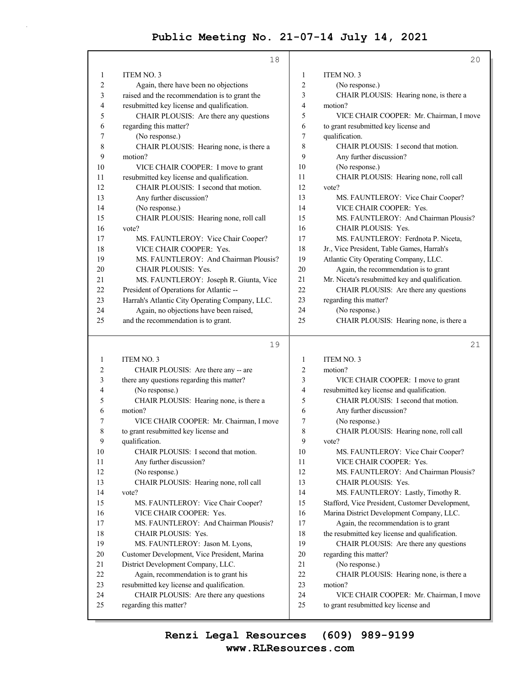|                         | 18                                                               |                | 20                                                                              |
|-------------------------|------------------------------------------------------------------|----------------|---------------------------------------------------------------------------------|
| 1                       | ITEM NO. 3                                                       | 1              | ITEM NO. 3                                                                      |
| $\overline{\mathbf{c}}$ | Again, there have been no objections                             | $\overline{c}$ | (No response.)                                                                  |
| 3                       | raised and the recommendation is to grant the                    | 3              | CHAIR PLOUSIS: Hearing none, is there a                                         |
| 4                       | resubmitted key license and qualification.                       | 4              | motion?                                                                         |
| 5                       | CHAIR PLOUSIS: Are there any questions                           | 5              | VICE CHAIR COOPER: Mr. Chairman, I move                                         |
| 6                       | regarding this matter?                                           | 6              | to grant resubmitted key license and                                            |
| 7                       | (No response.)                                                   | 7              | qualification.                                                                  |
| 8                       | CHAIR PLOUSIS: Hearing none, is there a                          | 8              | CHAIR PLOUSIS: I second that motion.                                            |
| 9                       | motion?                                                          | 9              | Any further discussion?                                                         |
| 10                      | VICE CHAIR COOPER: I move to grant                               | 10             | (No response.)                                                                  |
| 11                      | resubmitted key license and qualification.                       | 11             | CHAIR PLOUSIS: Hearing none, roll call                                          |
| 12                      | CHAIR PLOUSIS: I second that motion.                             | 12             | vote?                                                                           |
| 13                      | Any further discussion?                                          | 13             | MS. FAUNTLEROY: Vice Chair Cooper?                                              |
| 14                      | (No response.)                                                   | 14             | VICE CHAIR COOPER: Yes.                                                         |
| 15                      | CHAIR PLOUSIS: Hearing none, roll call                           | 15             | MS. FAUNTLEROY: And Chairman Plousis?                                           |
| 16                      | vote?                                                            | 16             | CHAIR PLOUSIS: Yes.                                                             |
| 17                      | MS. FAUNTLEROY: Vice Chair Cooper?                               | 17             | MS. FAUNTLEROY: Ferdnota P. Niceta,                                             |
| 18                      | VICE CHAIR COOPER: Yes.                                          | 18             | Jr., Vice President, Table Games, Harrah's                                      |
| 19                      | MS. FAUNTLEROY: And Chairman Plousis?                            | 19             | Atlantic City Operating Company, LLC.                                           |
| 20                      | <b>CHAIR PLOUSIS: Yes.</b>                                       | 20             | Again, the recommendation is to grant                                           |
| 21                      | MS. FAUNTLEROY: Joseph R. Giunta, Vice                           | 21             | Mr. Niceta's resubmitted key and qualification.                                 |
| 22                      | President of Operations for Atlantic --                          | 22             | CHAIR PLOUSIS: Are there any questions                                          |
| 23                      | Harrah's Atlantic City Operating Company, LLC.                   | 23             | regarding this matter?                                                          |
| 24                      | Again, no objections have been raised,                           | 24             | (No response.)                                                                  |
| 25                      | and the recommendation is to grant.                              | 25             | CHAIR PLOUSIS: Hearing none, is there a                                         |
|                         |                                                                  |                |                                                                                 |
|                         |                                                                  |                | 21                                                                              |
|                         | 19                                                               |                |                                                                                 |
| 1                       | ITEM NO. 3                                                       | 1              | <b>ITEM NO. 3</b>                                                               |
| 2                       | CHAIR PLOUSIS: Are there any -- are                              | $\overline{c}$ | motion?                                                                         |
| 3<br>4                  | there any questions regarding this matter?                       | 3<br>4         | VICE CHAIR COOPER: I move to grant                                              |
| 5                       | (No response.)                                                   |                | resubmitted key license and qualification.                                      |
| 6                       | CHAIR PLOUSIS: Hearing none, is there a<br>motion?               | 5<br>6         | CHAIR PLOUSIS: I second that motion.                                            |
| 7                       | VICE CHAIR COOPER: Mr. Chairman, I move                          | 7              | Any further discussion?                                                         |
| 8                       | to grant resubmitted key license and                             | 8              | (No response.)<br>CHAIR PLOUSIS: Hearing none, roll call                        |
| 9                       | qualification.                                                   | 9              | vote?                                                                           |
| 10                      | CHAIR PLOUSIS: I second that motion.                             | 10             | MS. FAUNTLEROY: Vice Chair Cooper?                                              |
| 11                      | Any further discussion?                                          | 11             | VICE CHAIR COOPER: Yes.                                                         |
| 12                      | (No response.)                                                   | 12             | MS. FAUNTLEROY: And Chairman Plousis?                                           |
| 13                      | CHAIR PLOUSIS: Hearing none, roll call                           | 13             | CHAIR PLOUSIS: Yes.                                                             |
| 14                      | vote?                                                            | 14             | MS. FAUNTLEROY: Lastly, Timothy R.                                              |
| 15                      | MS. FAUNTLEROY: Vice Chair Cooper?                               | 15             | Stafford, Vice President, Customer Development,                                 |
| 16                      | VICE CHAIR COOPER: Yes.                                          | 16             | Marina District Development Company, LLC.                                       |
| 17                      | MS. FAUNTLEROY: And Chairman Plousis?                            | 17             | Again, the recommendation is to grant                                           |
| 18                      | CHAIR PLOUSIS: Yes.                                              | 18             | the resubmitted key license and qualification.                                  |
| 19                      | MS. FAUNTLEROY: Jason M. Lyons,                                  | 19             | CHAIR PLOUSIS: Are there any questions                                          |
| 20                      | Customer Development, Vice President, Marina                     | 20             | regarding this matter?                                                          |
| 21                      | District Development Company, LLC.                               | 21             | (No response.)                                                                  |
| 22                      | Again, recommendation is to grant his                            | 22             | CHAIR PLOUSIS: Hearing none, is there a                                         |
| 23                      | resubmitted key license and qualification.                       | 23             | motion?                                                                         |
| 24<br>25                | CHAIR PLOUSIS: Are there any questions<br>regarding this matter? | 24<br>25       | VICE CHAIR COOPER: Mr. Chairman, I move<br>to grant resubmitted key license and |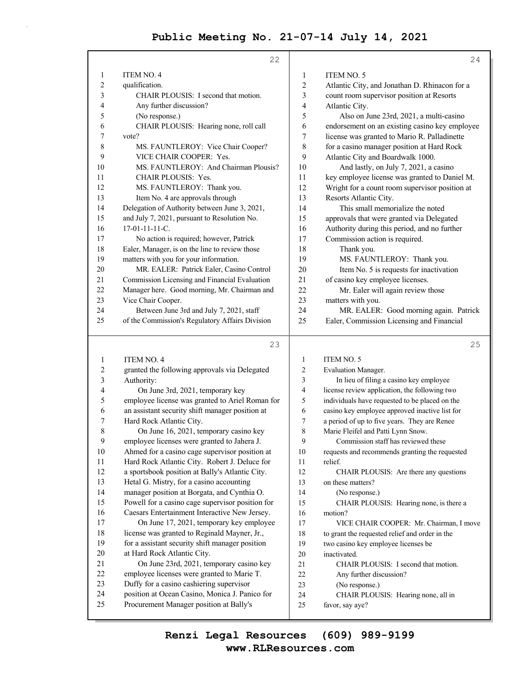|                         | 22                                                                                        |                | 24                                                     |
|-------------------------|-------------------------------------------------------------------------------------------|----------------|--------------------------------------------------------|
| 1                       | <b>ITEM NO. 4</b>                                                                         | 1              | ITEM NO. 5                                             |
| $\overline{\mathbf{c}}$ | qualification.                                                                            | $\overline{2}$ | Atlantic City, and Jonathan D. Rhinacon for a          |
| 3                       | CHAIR PLOUSIS: I second that motion.                                                      | 3              | count room supervisor position at Resorts              |
| 4                       | Any further discussion?                                                                   | 4              | Atlantic City.                                         |
| 5                       | (No response.)                                                                            | 5              | Also on June 23rd, 2021, a multi-casino                |
| 6                       | CHAIR PLOUSIS: Hearing none, roll call                                                    | 6              | endorsement on an existing casino key employee         |
| 7                       | vote?                                                                                     | 7              | license was granted to Mario R. Palladinette           |
| 8                       | MS. FAUNTLEROY: Vice Chair Cooper?                                                        | 8              | for a casino manager position at Hard Rock             |
| 9                       | VICE CHAIR COOPER: Yes.                                                                   | 9              | Atlantic City and Boardwalk 1000.                      |
| 10                      | MS. FAUNTLEROY: And Chairman Plousis?                                                     | 10             | And lastly, on July 7, 2021, a casino                  |
| 11                      | CHAIR PLOUSIS: Yes.                                                                       | 11             | key employee license was granted to Daniel M.          |
| 12                      | MS. FAUNTLEROY: Thank you.                                                                | 12             | Wright for a count room supervisor position at         |
| 13                      | Item No. 4 are approvals through                                                          | 13             | Resorts Atlantic City.                                 |
| 14                      | Delegation of Authority between June 3, 2021,                                             | 14             | This small memorialize the noted                       |
| 15                      | and July 7, 2021, pursuant to Resolution No.                                              | 15             | approvals that were granted via Delegated              |
| 16                      | $17-01-11-11-C.$                                                                          | 16             | Authority during this period, and no further           |
| 17                      | No action is required; however, Patrick                                                   | 17             | Commission action is required.                         |
| 18                      | Ealer, Manager, is on the line to review those                                            | 18             | Thank you.                                             |
| 19                      | matters with you for your information.                                                    | 19             | MS. FAUNTLEROY: Thank you.                             |
| 20                      | MR. EALER: Patrick Ealer, Casino Control                                                  | 20             | Item No. 5 is requests for inactivation                |
| 21                      | Commission Licensing and Financial Evaluation                                             | 21             | of casino key employee licenses.                       |
| 22                      | Manager here. Good morning, Mr. Chairman and                                              | 22             | Mr. Ealer will again review those                      |
| 23                      | Vice Chair Cooper.                                                                        | 23             | matters with you.                                      |
| 24                      | Between June 3rd and July 7, 2021, staff                                                  | 24             | MR. EALER: Good morning again. Patrick                 |
| 25                      | of the Commission's Regulatory Affairs Division                                           | 25             | Ealer, Commission Licensing and Financial              |
|                         | 23                                                                                        |                | 25                                                     |
| 1                       | <b>ITEM NO. 4</b>                                                                         | 1              | ITEM NO. 5                                             |
| 2                       | granted the following approvals via Delegated                                             | 2              | Evaluation Manager.                                    |
| 3                       | Authority:                                                                                | 3              | In lieu of filing a casino key employee                |
| 4                       | On June 3rd, 2021, temporary key                                                          | 4              | license review application, the following two          |
| 5                       | employee license was granted to Ariel Roman for                                           | 5              | individuals have requested to be placed on the         |
| 6                       | an assistant security shift manager position at                                           | 6              | casino key employee approved inactive list for         |
| 7                       | Hard Rock Atlantic City.                                                                  | 7              | a period of up to five years. They are Renee           |
| 8                       | On June 16, 2021, temporary casino key                                                    | 8              | Marie Fleifel and Patti Lynn Snow.                     |
| 9                       | employee licenses were granted to Jahera J.                                               | 9              | Commission staff has reviewed these                    |
| 10                      | Ahmed for a casino cage supervisor position at                                            | 10             | requests and recommends granting the requested         |
| 11                      |                                                                                           |                |                                                        |
| 12                      | Hard Rock Atlantic City. Robert J. Deluce for                                             | 11             | relief.                                                |
|                         | a sportsbook position at Bally's Atlantic City.                                           | 12             | CHAIR PLOUSIS: Are there any questions                 |
| 13                      | Hetal G. Mistry, for a casino accounting                                                  | 13             | on these matters?                                      |
| 14                      | manager position at Borgata, and Cynthia O.                                               | 14             | (No response.)                                         |
| 15                      | Powell for a casino cage supervisor position for                                          | 15             | CHAIR PLOUSIS: Hearing none, is there a                |
| 16                      | Caesars Entertainment Interactive New Jersey.                                             | 16             | motion?                                                |
| 17                      | On June 17, 2021, temporary key employee                                                  | 17             | VICE CHAIR COOPER: Mr. Chairman, I move                |
| 18                      | license was granted to Reginald Mayner, Jr.,                                              | 18             | to grant the requested relief and order in the         |
| 19                      | for a assistant security shift manager position                                           | 19             | two casino key employee licenses be                    |
| 20                      | at Hard Rock Atlantic City.                                                               | 20             | inactivated.                                           |
| 21                      | On June 23rd, 2021, temporary casino key                                                  | 21             | CHAIR PLOUSIS: I second that motion.                   |
| 22                      | employee licenses were granted to Marie T.                                                | 22             | Any further discussion?                                |
| 23                      | Duffy for a casino cashiering supervisor                                                  | 23             | (No response.)                                         |
| 24<br>25                | position at Ocean Casino, Monica J. Panico for<br>Procurement Manager position at Bally's | 24<br>25       | CHAIR PLOUSIS: Hearing none, all in<br>favor, say aye? |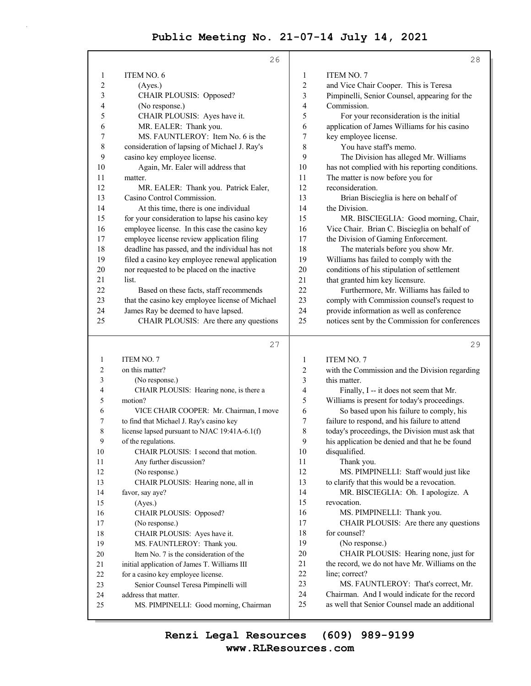|                         | 26                                                                                                 |                | 28                                                                                              |
|-------------------------|----------------------------------------------------------------------------------------------------|----------------|-------------------------------------------------------------------------------------------------|
| $\mathbf{1}$            | <b>ITEM NO. 6</b>                                                                                  | 1              | <b>ITEM NO. 7</b>                                                                               |
| $\overline{\mathbf{c}}$ | (Ayes.)                                                                                            | $\sqrt{2}$     | and Vice Chair Cooper. This is Teresa                                                           |
| 3                       | CHAIR PLOUSIS: Opposed?                                                                            | $\mathfrak{Z}$ | Pimpinelli, Senior Counsel, appearing for the                                                   |
| 4                       | (No response.)                                                                                     | 4              | Commission.                                                                                     |
| 5                       | CHAIR PLOUSIS: Ayes have it.                                                                       | 5              | For your reconsideration is the initial                                                         |
| 6                       | MR. EALER: Thank you.                                                                              | 6              | application of James Williams for his casino                                                    |
| 7                       | MS. FAUNTLEROY: Item No. 6 is the                                                                  | 7              | key employee license.                                                                           |
| 8                       | consideration of lapsing of Michael J. Ray's                                                       | 8              | You have staff's memo.                                                                          |
| 9                       | casino key employee license.                                                                       | 9              | The Division has alleged Mr. Williams                                                           |
| 10                      | Again, Mr. Ealer will address that                                                                 | 10             | has not complied with his reporting conditions.                                                 |
| 11                      | matter.                                                                                            | 11             | The matter is now before you for                                                                |
| 12                      | MR. EALER: Thank you. Patrick Ealer,                                                               | 12             | reconsideration.                                                                                |
| 13                      | Casino Control Commission.                                                                         | 13             | Brian Biscieglia is here on behalf of                                                           |
| 14                      | At this time, there is one individual                                                              | 14             | the Division.                                                                                   |
| 15                      | for your consideration to lapse his casino key                                                     | 15             | MR. BISCIEGLIA: Good morning, Chair,                                                            |
| 16                      | employee license. In this case the casino key                                                      | 16             | Vice Chair. Brian C. Biscieglia on behalf of                                                    |
| 17                      | employee license review application filing                                                         | 17             | the Division of Gaming Enforcement.                                                             |
| 18                      |                                                                                                    | 18             | The materials before you show Mr.                                                               |
| 19                      | deadline has passed, and the individual has not<br>filed a casino key employee renewal application | 19             | Williams has failed to comply with the                                                          |
| 20                      |                                                                                                    | 20             |                                                                                                 |
| 21                      | nor requested to be placed on the inactive<br>list.                                                | 21             | conditions of his stipulation of settlement<br>that granted him key licensure.                  |
| 22                      |                                                                                                    | 22             | Furthermore, Mr. Williams has failed to                                                         |
| 23                      | Based on these facts, staff recommends                                                             | 23             | comply with Commission counsel's request to                                                     |
|                         | that the casino key employee license of Michael                                                    |                |                                                                                                 |
| 24<br>25                | James Ray be deemed to have lapsed.                                                                | 24<br>25       | provide information as well as conference                                                       |
|                         | CHAIR PLOUSIS: Are there any questions                                                             |                | notices sent by the Commission for conferences                                                  |
|                         |                                                                                                    |                |                                                                                                 |
|                         |                                                                                                    |                |                                                                                                 |
|                         | 27                                                                                                 |                | 29                                                                                              |
| 1                       | <b>ITEM NO. 7</b>                                                                                  | 1              | <b>ITEM NO. 7</b>                                                                               |
| 2                       | on this matter?                                                                                    | $\overline{c}$ | with the Commission and the Division regarding                                                  |
| 3                       | (No response.)                                                                                     | 3              | this matter.                                                                                    |
| 4                       | CHAIR PLOUSIS: Hearing none, is there a                                                            | 4              | Finally, I -- it does not seem that Mr.                                                         |
| 5                       | motion?                                                                                            | 5              | Williams is present for today's proceedings.                                                    |
| 6                       | VICE CHAIR COOPER: Mr. Chairman, I move                                                            | 6              | So based upon his failure to comply, his                                                        |
| 7                       | to find that Michael J. Ray's casino key                                                           | 7              | failure to respond, and his failure to attend                                                   |
| 8                       | license lapsed pursuant to NJAC 19:41A-6.1(f)                                                      | 8              | today's proceedings, the Division must ask that                                                 |
| 9                       | of the regulations.                                                                                | 9              | his application be denied and that he be found                                                  |
| 10                      | CHAIR PLOUSIS: I second that motion.                                                               | 10             | disqualified.                                                                                   |
| 11                      | Any further discussion?                                                                            | 11             | Thank you.                                                                                      |
| 12                      | (No response.)                                                                                     | 12             | MS. PIMPINELLI: Staff would just like                                                           |
| 13                      | CHAIR PLOUSIS: Hearing none, all in                                                                | 13             | to clarify that this would be a revocation.                                                     |
| 14                      | favor, say aye?                                                                                    | 14             | MR. BISCIEGLIA: Oh. I apologize. A                                                              |
| 15                      | (Ayes.)                                                                                            | 15             | revocation.                                                                                     |
| 16                      | CHAIR PLOUSIS: Opposed?                                                                            | 16             | MS. PIMPINELLI: Thank you.                                                                      |
| 17                      | (No response.)                                                                                     | 17             | CHAIR PLOUSIS: Are there any questions                                                          |
| 18                      | CHAIR PLOUSIS: Ayes have it.                                                                       | 18             | for counsel?                                                                                    |
| 19                      | MS. FAUNTLEROY: Thank you.                                                                         | 19             | (No response.)                                                                                  |
| 20                      | Item No. 7 is the consideration of the                                                             | 20             | CHAIR PLOUSIS: Hearing none, just for                                                           |
| 21                      | initial application of James T. Williams III                                                       | 21             | the record, we do not have Mr. Williams on the                                                  |
| 22                      | for a casino key employee license.                                                                 | 22             | line; correct?                                                                                  |
| 23                      | Senior Counsel Teresa Pimpinelli will                                                              | 23             | MS. FAUNTLEROY: That's correct, Mr.                                                             |
| 24<br>25                | address that matter.<br>MS. PIMPINELLI: Good morning, Chairman                                     | 24<br>25       | Chairman. And I would indicate for the record<br>as well that Senior Counsel made an additional |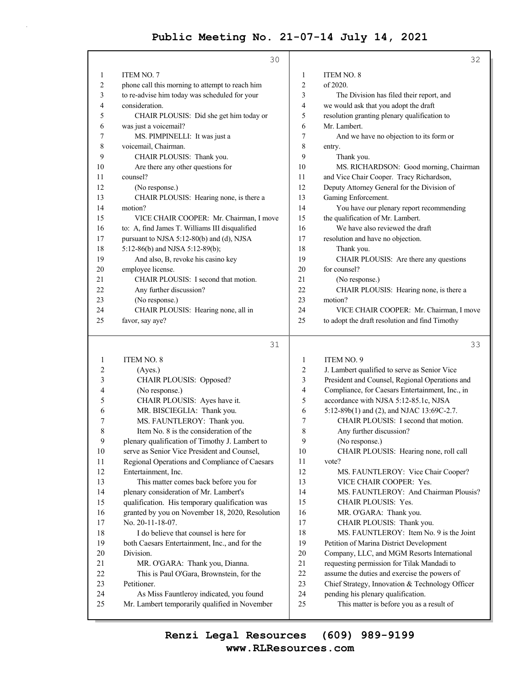|        | 30                                              |    | 32                                                                                        |
|--------|-------------------------------------------------|----|-------------------------------------------------------------------------------------------|
| 1      | ITEM NO. 7                                      | 1  | ITEM NO. 8                                                                                |
| 2      | phone call this morning to attempt to reach him | 2  | of 2020.                                                                                  |
| 3      | to re-advise him today was scheduled for your   | 3  | The Division has filed their report, and                                                  |
| 4      | consideration.                                  | 4  | we would ask that you adopt the draft                                                     |
| 5      | CHAIR PLOUSIS: Did she get him today or         | 5  | resolution granting plenary qualification to                                              |
| 6      | was just a voicemail?                           | 6  | Mr. Lambert.                                                                              |
| 7      | MS. PIMPINELLI: It was just a                   | 7  | And we have no objection to its form or                                                   |
| 8      | voicemail, Chairman.                            | 8  | entry.                                                                                    |
| 9      | CHAIR PLOUSIS: Thank you.                       | 9  | Thank you.                                                                                |
| 10     | Are there any other questions for               | 10 | MS. RICHARDSON: Good morning, Chairman                                                    |
| 11     | counsel?                                        | 11 | and Vice Chair Cooper. Tracy Richardson,                                                  |
| 12     | (No response.)                                  | 12 | Deputy Attorney General for the Division of                                               |
| 13     | CHAIR PLOUSIS: Hearing none, is there a         | 13 | Gaming Enforcement.                                                                       |
| 14     | motion?                                         | 14 | You have our plenary report recommending                                                  |
| 15     | VICE CHAIR COOPER: Mr. Chairman, I move         | 15 | the qualification of Mr. Lambert.                                                         |
| 16     | to: A, find James T. Williams III disqualified  | 16 | We have also reviewed the draft                                                           |
| 17     | pursuant to NJSA 5:12-80(b) and (d), NJSA       | 17 | resolution and have no objection.                                                         |
| 18     | 5:12-86(b) and NJSA 5:12-89(b);                 | 18 | Thank you.                                                                                |
| 19     | And also, B, revoke his casino key              | 19 | CHAIR PLOUSIS: Are there any questions                                                    |
| 20     | employee license.                               | 20 | for counsel?                                                                              |
| 21     | CHAIR PLOUSIS: I second that motion.            | 21 | (No response.)                                                                            |
| 22     | Any further discussion?                         | 22 | CHAIR PLOUSIS: Hearing none, is there a                                                   |
| 23     | (No response.)                                  | 23 | motion?                                                                                   |
| 24     | CHAIR PLOUSIS: Hearing none, all in             | 24 | VICE CHAIR COOPER: Mr. Chairman, I move                                                   |
| 25     | favor, say aye?                                 | 25 | to adopt the draft resolution and find Timothy                                            |
|        |                                                 |    |                                                                                           |
|        | 31                                              |    | 33                                                                                        |
| 1      | <b>ITEM NO. 8</b>                               | 1  | ITEM NO. 9                                                                                |
| 2      | (Ayes.)                                         |    |                                                                                           |
|        |                                                 | 2  | J. Lambert qualified to serve as Senior Vice                                              |
| 3      | CHAIR PLOUSIS: Opposed?                         | 3  | President and Counsel, Regional Operations and                                            |
| 4      | (No response.)                                  | 4  | Compliance, for Caesars Entertainment, Inc., in                                           |
| 5      | CHAIR PLOUSIS: Ayes have it.                    | 5  | accordance with NJSA 5:12-85.1c, NJSA                                                     |
| 6      | MR. BISCIEGLIA: Thank you.                      | 6  | 5:12-89b(1) and (2), and NJAC 13:69C-2.7.                                                 |
| 7      | MS. FAUNTLEROY: Thank you.                      | 7  | CHAIR PLOUSIS: I second that motion.                                                      |
| 8      | Item No. 8 is the consideration of the          | 8  | Any further discussion?                                                                   |
| 9      | plenary qualification of Timothy J. Lambert to  | 9  | (No response.)                                                                            |
| $10\,$ | serve as Senior Vice President and Counsel,     | 10 | CHAIR PLOUSIS: Hearing none, roll call                                                    |
| 11     | Regional Operations and Compliance of Caesars   | 11 | vote?                                                                                     |
| 12     | Entertainment, Inc.                             | 12 | MS. FAUNTLEROY: Vice Chair Cooper?                                                        |
| 13     | This matter comes back before you for           | 13 | VICE CHAIR COOPER: Yes.                                                                   |
| 14     | plenary consideration of Mr. Lambert's          | 14 | MS. FAUNTLEROY: And Chairman Plousis?                                                     |
| 15     | qualification. His temporary qualification was  | 15 | CHAIR PLOUSIS: Yes.                                                                       |
| 16     | granted by you on November 18, 2020, Resolution | 16 | MR. O'GARA: Thank you.                                                                    |
| 17     | No. 20-11-18-07.                                | 17 | CHAIR PLOUSIS: Thank you.                                                                 |
| 18     | I do believe that counsel is here for           | 18 | MS. FAUNTLEROY: Item No. 9 is the Joint                                                   |
| 19     | both Caesars Entertainment, Inc., and for the   | 19 | Petition of Marina District Development                                                   |
| 20     | Division.                                       | 20 | Company, LLC, and MGM Resorts International<br>requesting permission for Tilak Mandadi to |

- 22 assume the duties and exercise the powers of 23 Chief Strategy, Innovation & Technology Officer
- 24 pending his plenary qualification.
- 25 This matter is before you as a result of

#### **www.RLResources.com Renzi Legal Resources (609) 989-9199**

22 This is Paul O'Gara, Brownstein, for the

24 As Miss Fauntleroy indicated, you found 25 Mr. Lambert temporarily qualified in November

23 Petitioner.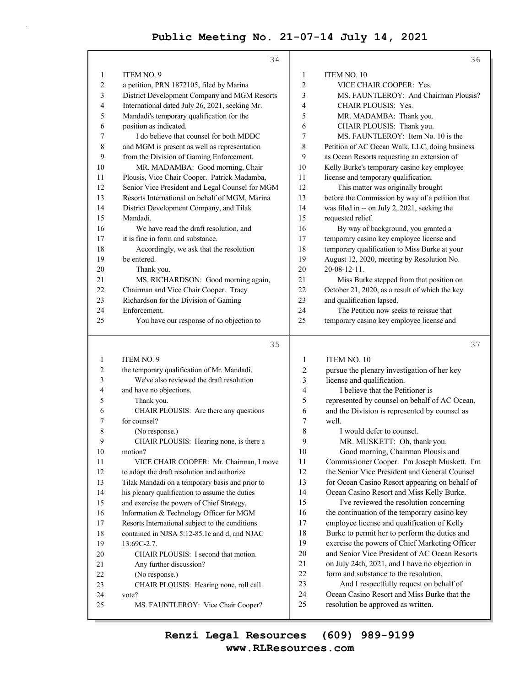|          | 34                                              |                | 36                                                                                |
|----------|-------------------------------------------------|----------------|-----------------------------------------------------------------------------------|
| 1        | <b>ITEM NO. 9</b>                               | $\mathbf{1}$   | ITEM NO. 10                                                                       |
| 2        | a petition, PRN 1872105, filed by Marina        | $\overline{c}$ | VICE CHAIR COOPER: Yes.                                                           |
| 3        | District Development Company and MGM Resorts    | 3              | MS. FAUNTLEROY: And Chairman Plousis?                                             |
| 4        | International dated July 26, 2021, seeking Mr.  | 4              | <b>CHAIR PLOUSIS: Yes.</b>                                                        |
| 5        | Mandadi's temporary qualification for the       | 5              | MR. MADAMBA: Thank you.                                                           |
| 6        | position as indicated.                          | 6              | CHAIR PLOUSIS: Thank you.                                                         |
| 7        | I do believe that counsel for both MDDC         | 7              | MS. FAUNTLEROY: Item No. 10 is the                                                |
| 8        | and MGM is present as well as representation    | 8              | Petition of AC Ocean Walk, LLC, doing business                                    |
| 9        | from the Division of Gaming Enforcement.        | 9              | as Ocean Resorts requesting an extension of                                       |
| 10       | MR. MADAMBA: Good morning, Chair                | 10             | Kelly Burke's temporary casino key employee                                       |
| 11       | Plousis, Vice Chair Cooper. Patrick Madamba,    | 11             | license and temporary qualification.                                              |
| 12       | Senior Vice President and Legal Counsel for MGM | 12             | This matter was originally brought                                                |
| 13       | Resorts International on behalf of MGM, Marina  | 13             | before the Commission by way of a petition that                                   |
| 14       | District Development Company, and Tilak         | 14             | was filed in -- on July 2, 2021, seeking the                                      |
| 15       | Mandadi.                                        | 15             | requested relief.                                                                 |
| 16       | We have read the draft resolution, and          | 16             | By way of background, you granted a                                               |
| 17       | it is fine in form and substance.               | 17             | temporary casino key employee license and                                         |
| 18       | Accordingly, we ask that the resolution         | 18             | temporary qualification to Miss Burke at your                                     |
| 19       | be entered.                                     | 19             | August 12, 2020, meeting by Resolution No.                                        |
| 20       | Thank you.                                      | 20             | $20 - 08 - 12 - 11$ .                                                             |
| 21       | MS. RICHARDSON: Good morning again,             | 21             | Miss Burke stepped from that position on                                          |
| 22       | Chairman and Vice Chair Cooper. Tracy           | 22             | October 21, 2020, as a result of which the key                                    |
| 23       | Richardson for the Division of Gaming           | 23             | and qualification lapsed.                                                         |
| 24       | Enforcement.                                    | 24             | The Petition now seeks to reissue that                                            |
| 25       | You have our response of no objection to        | 25             | temporary casino key employee license and                                         |
|          | 35                                              |                | 37                                                                                |
| 1        | ITEM NO. 9                                      |                |                                                                                   |
|          |                                                 | 1              | <b>ITEM NO. 10</b>                                                                |
| 2        | the temporary qualification of Mr. Mandadi.     | 2              |                                                                                   |
| 3        | We've also reviewed the draft resolution        | 3              | pursue the plenary investigation of her key<br>license and qualification.         |
| 4        | and have no objections.                         | 4              | I believe that the Petitioner is                                                  |
| 5        | Thank you.                                      | 5              | represented by counsel on behalf of AC Ocean,                                     |
| 6        | CHAIR PLOUSIS: Are there any questions          | 6              | and the Division is represented by counsel as                                     |
| 7        | for counsel?                                    | 7              | well.                                                                             |
| 8        | (No response.)                                  | 8              | I would defer to counsel.                                                         |
| 9        | CHAIR PLOUSIS: Hearing none, is there a         | 9              | MR. MUSKETT: Oh, thank you.                                                       |
| $10\,$   | motion?                                         | 10             | Good morning, Chairman Plousis and                                                |
| 11       | VICE CHAIR COOPER: Mr. Chairman, I move         | 11             | Commissioner Cooper. I'm Joseph Muskett. I'm                                      |
| 12       | to adopt the draft resolution and authorize     | 12             | the Senior Vice President and General Counsel                                     |
| 13       | Tilak Mandadi on a temporary basis and prior to | 13             | for Ocean Casino Resort appearing on behalf of                                    |
| 14       | his plenary qualification to assume the duties  | 14             | Ocean Casino Resort and Miss Kelly Burke.                                         |
| 15       | and exercise the powers of Chief Strategy,      | 15             | I've reviewed the resolution concerning                                           |
| 16       | Information & Technology Officer for MGM        | 16             | the continuation of the temporary casino key                                      |
| 17       | Resorts International subject to the conditions | 17             | employee license and qualification of Kelly                                       |
| 18       | contained in NJSA 5:12-85.1c and d, and NJAC    | 18             | Burke to permit her to perform the duties and                                     |
| 19       | 13:69C-2.7.                                     | 19             | exercise the powers of Chief Marketing Officer                                    |
| 20       | CHAIR PLOUSIS: I second that motion.            | 20             | and Senior Vice President of AC Ocean Resorts                                     |
| 21       | Any further discussion?                         | 21             | on July 24th, 2021, and I have no objection in                                    |
| 22       | (No response.)                                  | 22             | form and substance to the resolution.                                             |
| 23       | CHAIR PLOUSIS: Hearing none, roll call          | 23             | And I respectfully request on behalf of                                           |
| 24<br>25 | vote?<br>MS. FAUNTLEROY: Vice Chair Cooper?     | 24<br>25       | Ocean Casino Resort and Miss Burke that the<br>resolution be approved as written. |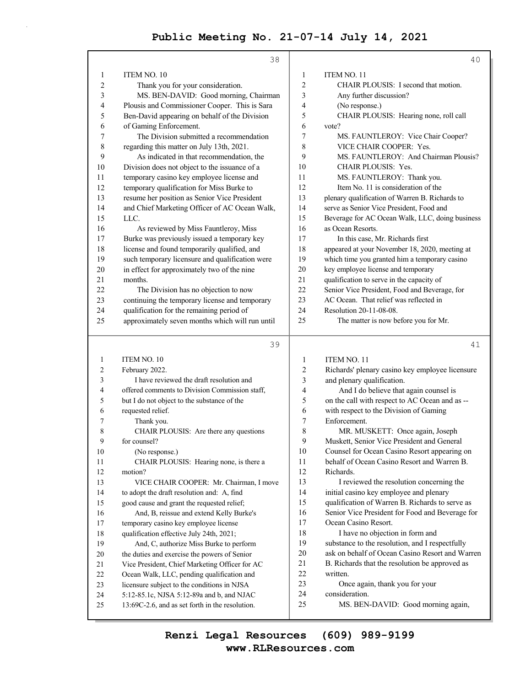|                | 38                                                                                           |                         | 40                                                   |
|----------------|----------------------------------------------------------------------------------------------|-------------------------|------------------------------------------------------|
| 1              | ITEM NO. 10                                                                                  | 1                       | ITEM NO. 11                                          |
| $\overline{c}$ | Thank you for your consideration.                                                            | $\overline{\mathbf{c}}$ | CHAIR PLOUSIS: I second that motion.                 |
| 3              | MS. BEN-DAVID: Good morning, Chairman                                                        | 3                       | Any further discussion?                              |
| 4              | Plousis and Commissioner Cooper. This is Sara                                                | 4                       | (No response.)                                       |
| 5              | Ben-David appearing on behalf of the Division                                                | 5                       | CHAIR PLOUSIS: Hearing none, roll call               |
| 6              | of Gaming Enforcement.                                                                       | 6                       | vote?                                                |
| 7              | The Division submitted a recommendation                                                      | 7                       | MS. FAUNTLEROY: Vice Chair Cooper?                   |
| 8              | regarding this matter on July 13th, 2021.                                                    | 8                       | VICE CHAIR COOPER: Yes.                              |
| 9              | As indicated in that recommendation, the                                                     | 9                       | MS. FAUNTLEROY: And Chairman Plousis?                |
| 10             | Division does not object to the issuance of a                                                | 10                      | CHAIR PLOUSIS: Yes.                                  |
| 11             | temporary casino key employee license and                                                    | 11                      | MS. FAUNTLEROY: Thank you.                           |
| 12             | temporary qualification for Miss Burke to                                                    | 12                      | Item No. 11 is consideration of the                  |
| 13             | resume her position as Senior Vice President                                                 | 13                      | plenary qualification of Warren B. Richards to       |
| 14             | and Chief Marketing Officer of AC Ocean Walk,                                                | 14                      | serve as Senior Vice President, Food and             |
| 15             | LLC.                                                                                         | 15                      | Beverage for AC Ocean Walk, LLC, doing business      |
| 16             | As reviewed by Miss Fauntleroy, Miss                                                         | 16                      | as Ocean Resorts.                                    |
| 17             | Burke was previously issued a temporary key                                                  | 17                      | In this case, Mr. Richards first                     |
| 18             | license and found temporarily qualified, and                                                 | 18                      | appeared at your November 18, 2020, meeting at       |
| 19             | such temporary licensure and qualification were                                              | 19                      | which time you granted him a temporary casino        |
| 20             | in effect for approximately two of the nine                                                  | 20                      | key employee license and temporary                   |
| 21             | months.                                                                                      | 21                      | qualification to serve in the capacity of            |
| 22             | The Division has no objection to now                                                         | 22                      | Senior Vice President, Food and Beverage, for        |
| 23             | continuing the temporary license and temporary                                               | 23                      | AC Ocean. That relief was reflected in               |
| 24             | qualification for the remaining period of                                                    | 24                      | Resolution 20-11-08-08.                              |
| 25             | approximately seven months which will run until                                              | 25                      | The matter is now before you for Mr.                 |
|                |                                                                                              |                         |                                                      |
|                |                                                                                              |                         |                                                      |
|                | 39                                                                                           |                         | 41                                                   |
| 1              | ITEM NO. 10                                                                                  | 1                       | <b>ITEM NO. 11</b>                                   |
| 2              | February 2022.                                                                               | 2                       | Richards' plenary casino key employee licensure      |
| 3              | I have reviewed the draft resolution and                                                     | 3                       | and plenary qualification.                           |
| 4              | offered comments to Division Commission staff,                                               | 4                       | And I do believe that again counsel is               |
| 5              | but I do not object to the substance of the                                                  | 5                       | on the call with respect to AC Ocean and as --       |
| 6              | requested relief.                                                                            | 6                       | with respect to the Division of Gaming               |
| 7              | Thank you.                                                                                   | 7                       | Enforcement.                                         |
| 8              | CHAIR PLOUSIS: Are there any questions                                                       | 8                       | MR. MUSKETT: Once again, Joseph                      |
| Q              | for counsel?                                                                                 | 9                       | Muskett, Senior Vice President and General           |
| 10             | (No response.)                                                                               | 10                      | Counsel for Ocean Casino Resort appearing on         |
| 11             | CHAIR PLOUSIS: Hearing none, is there a                                                      | 11                      | behalf of Ocean Casino Resort and Warren B.          |
| 12             | motion?                                                                                      | 12                      | Richards.                                            |
| 13             | VICE CHAIR COOPER: Mr. Chairman, I move                                                      | 13                      | I reviewed the resolution concerning the             |
| 14             | to adopt the draft resolution and: A, find                                                   | 14                      | initial casino key employee and plenary              |
| 15             | good cause and grant the requested relief;                                                   | 15                      | qualification of Warren B. Richards to serve as      |
| 16             | And, B, reissue and extend Kelly Burke's                                                     | 16                      | Senior Vice President for Food and Beverage for      |
| 17             | temporary casino key employee license                                                        | 17                      | Ocean Casino Resort.                                 |
| 18             | qualification effective July 24th, 2021;                                                     | 18                      | I have no objection in form and                      |
| 19             | And, C, authorize Miss Burke to perform                                                      | 19                      | substance to the resolution, and I respectfully      |
| 20             | the duties and exercise the powers of Senior                                                 | 20                      | ask on behalf of Ocean Casino Resort and Warren      |
| 21             | Vice President, Chief Marketing Officer for AC                                               | 21                      | B. Richards that the resolution be approved as       |
| 22             | Ocean Walk, LLC, pending qualification and                                                   | 22                      | written.                                             |
| 23             | licensure subject to the conditions in NJSA                                                  | 23                      | Once again, thank you for your                       |
| 24<br>25       | 5:12-85.1c, NJSA 5:12-89a and b, and NJAC<br>13:69C-2.6, and as set forth in the resolution. | 24<br>25                | consideration.<br>MS. BEN-DAVID: Good morning again, |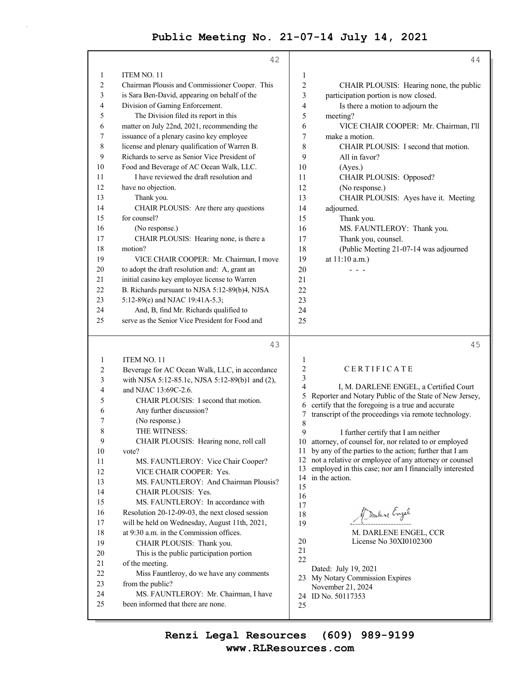|    | 42                                              |                         | 44                                                           |
|----|-------------------------------------------------|-------------------------|--------------------------------------------------------------|
| 1  | ITEM NO. 11                                     | 1                       |                                                              |
| 2  | Chairman Plousis and Commissioner Cooper. This  | $\overline{c}$          | CHAIR PLOUSIS: Hearing none, the public                      |
| 3  | is Sara Ben-David, appearing on behalf of the   | 3                       | participation portion is now closed.                         |
| 4  | Division of Gaming Enforcement.                 | 4                       | Is there a motion to adjourn the                             |
| 5  | The Division filed its report in this           | 5                       | meeting?                                                     |
| 6  | matter on July 22nd, 2021, recommending the     | 6                       | VICE CHAIR COOPER: Mr. Chairman, I'll                        |
| 7  | issuance of a plenary casino key employee       | 7                       | make a motion.                                               |
| 8  | license and plenary qualification of Warren B.  | 8                       | CHAIR PLOUSIS: I second that motion.                         |
| 9  | Richards to serve as Senior Vice President of   | 9                       | All in favor?                                                |
| 10 | Food and Beverage of AC Ocean Walk, LLC.        | 10                      | (Ayes.)                                                      |
| 11 | I have reviewed the draft resolution and        | 11                      | CHAIR PLOUSIS: Opposed?                                      |
| 12 | have no objection.                              | 12                      | (No response.)                                               |
| 13 | Thank you.                                      | 13                      | CHAIR PLOUSIS: Ayes have it. Meeting                         |
| 14 | CHAIR PLOUSIS: Are there any questions          | 14                      | adjourned.                                                   |
| 15 | for counsel?                                    | 15                      | Thank you.                                                   |
| 16 | (No response.)                                  | 16                      | MS. FAUNTLEROY: Thank you.                                   |
| 17 | CHAIR PLOUSIS: Hearing none, is there a         | 17                      | Thank you, counsel.                                          |
| 18 | motion?                                         | 18                      | (Public Meeting 21-07-14 was adjourned                       |
| 19 | VICE CHAIR COOPER: Mr. Chairman, I move         | 19                      | at 11:10 a.m.)                                               |
| 20 | to adopt the draft resolution and: A, grant an  | 20                      |                                                              |
| 21 | initial casino key employee license to Warren   | 21                      |                                                              |
| 22 | B. Richards pursuant to NJSA 5:12-89(b)4, NJSA  | 22                      |                                                              |
| 23 | 5:12-89(e) and NJAC 19:41A-5.3;                 | 23                      |                                                              |
| 24 | And, B, find Mr. Richards qualified to          | 24                      |                                                              |
| 25 | serve as the Senior Vice President for Food and | 25                      |                                                              |
|    | 43                                              |                         | 45                                                           |
| 1  | <b>ITEM NO. 11</b>                              | $\mathbf{1}$            |                                                              |
| 2  | Beverage for AC Ocean Walk, LLC, in accordance  | $\overline{c}$          | CERTIFICATE                                                  |
| 3  | with NJSA 5:12-85.1c, NJSA 5:12-89(b)1 and (2), | $\mathfrak{Z}$          |                                                              |
| 4  | and NJAC 13:69C-2.6.                            | $\overline{\mathbf{4}}$ | I, M. DARLENE ENGEL, a Certified Court                       |
|    |                                                 |                         | $\epsilon$ Denotes and Materia Dakker of the Ctate of Mass L |

- 6 Any further discussion?
- 7 (No response.)
- 8 THE WITNESS:

9 CHAIR PLOUSIS: Hearing none, roll call 10 vote?

- 11 MS. FAUNTLEROY: Vice Chair Cooper? 12 VICE CHAIR COOPER: Yes. 13 MS. FAUNTLEROY: And Chairman Plousis?
- 14 CHAIR PLOUSIS: Yes.

15 MS. FAUNTLEROY: In accordance with

- 16 Resolution 20-12-09-03, the next closed session 17 will be held on Wednesday, August 11th, 2021,
- 18 at 9:30 a.m. in the Commission offices. 19 CHAIR PLOUSIS: Thank you.
- 20 This is the public participation portion
- 21 of the meeting.
- 22 Miss Fauntleroy, do we have any comments
- 23 from the public?
- 24 MS. FAUNTLEROY: Mr. Chairman, I have 25 been informed that there are none.

5 Reporter and Notary Public of the State of New Jersey, 6 certify that the foregoing is a true and accurate 7 transcript of the proceedings via remote technology. 8 9 I further certify that I am neither

10 attorney, of counsel for, nor related to or employed 11 by any of the parties to the action; further that I am 12 not a relative or employee of any attorney or counsel 13 employed in this case; nor am I financially interested 14 in the action.

Darline Engel 19 ------------------------

 M. DARLENE ENGEL, CCR 20 License No 30XI0102300

21 22

- Dated: July 19, 2021
- 23 My Notary Commission Expires November 21, 2024
- 24 ID No. 50117353
- 25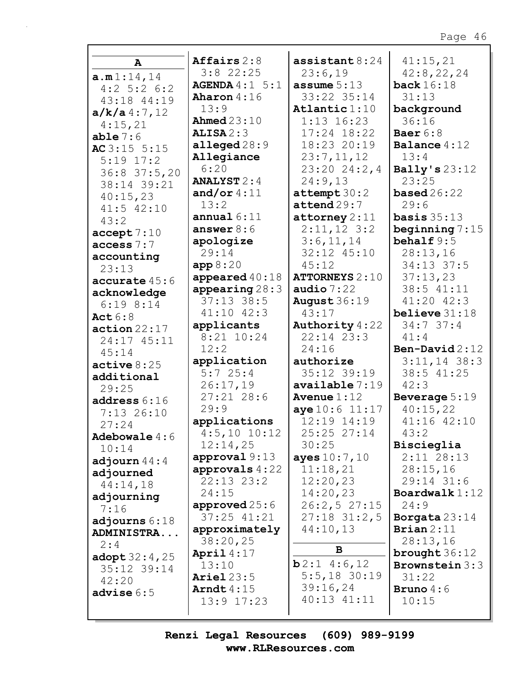| A                        | Affairs $2:8$        | assistant $8:24$         | 41:15,21             |
|--------------------------|----------------------|--------------------------|----------------------|
| a.m1:14,14               | $3:8$ 22:25          | 23:6,19                  | 42:8,22,24           |
| $4:2$ 5:2 6:2            | AGENDA 4:1 5:1       | assume $5:13$            | back $16:18$         |
| 43:18 44:19              | Aharon $4:16$        | 33:22 35:14              | 31:13                |
| $a/k/a$ 4:7,12           | 13:9                 | Atlantic 1:10            | background           |
| 4:15,21                  | <b>Ahmed</b> 23:10   | $1:13$ 16:23             | 36:16                |
| able 7:6                 | ALISA2:3             | 17:24 18:22              | Baer $6:8$           |
| AC $3:15$ 5:15           | alleged $28:9$       | 18:23 20:19              | Balance $4:12$       |
| $5:19$ $17:2$            | Allegiance           | 23:7,11,12               | 13:4                 |
| $36:8$ 37:5,20           | 6:20                 | 23:2024:2,4              | Bally's $23:12$      |
| 38:14 39:21              | <b>ANALYST</b> $2:4$ | 24:9,13                  | 23:25                |
|                          | and/or $4:11$        | $\texttt{attempt} 30:2$  | <b>based</b> $26:22$ |
| 40:15,23                 | 13:2                 | $\texttt{attend}$ 29:7   | 29:6                 |
| $41:5$ $42:10$           | annual $6:11$        | $\texttt{attorney} 2:11$ | basis $35:13$        |
| 43:2                     | answer $8:6$         | $2:11,12$ 3:2            | beginning $7:15$     |
| accept 7:10              | apologize            | 3:6,11,14                | behalf $9:5$         |
| access $7:7$             | 29:14                | 32:12 45:10              | 28:13,16             |
| accounting               | app 8:20             |                          |                      |
| 23:13                    |                      | 45:12                    | 34:13 37:5           |
| accurate 45:6            | appeared $40:18$     | <b>ATTORNEYS 2:10</b>    | 37:13,23             |
| acknowledge              | appearing $28:3$     | audio $7:22$             | 38:5 41:11           |
| $6:19$ $8:14$            | $37:13$ 38:5         | August $36:19$           | $41:20$ $42:3$       |
| Act $6:8$                | $41:10$ $42:3$       | 43:17                    | believe $31:18$      |
| action 22:17             | applicants           | <b>Authority</b> 4:22    | 34:737:4             |
| 24:17 45:11              | 8:21 10:24           | $22:14$ $23:3$           | 41:4                 |
| 45:14                    | 12:2                 | 24:16                    | Ben-David $2:12$     |
| active 8:25              | application          | authorize                | $3:11,14$ 38:3       |
| additional               | 5:725:4              | $35:12$ $39:19$          | 38:5 41:25           |
| 29:25                    | 26:17,19             | available 7:19           | 42:3                 |
| address $6:16$           | $27:21$ 28:6         | Avenue $1:12$            | Beverage 5:19        |
| $7:13$ 26:10             | 29:9                 | aye10:611:17             | 40:15,22             |
| 27:24                    | applications         | $12:19$ $14:19$          | 41:16 42:10          |
| Adebowale $4:6$          | $4:5,10$ 10:12       | 25:25 27:14              | 43:2                 |
| 10:14                    | 12:14,25             | 30:25                    | Biscieglia           |
| adjourn $44:4$           | approval 9:13        | ayes $10:7, 10$          | $2:11$ $28:13$       |
| adjourned                | approvals $4:22$     | 11:18,21                 | 28:15,16             |
| 44:14,18                 | $22:13$ $23:2$       | 12:20,23                 | 29:14 31:6           |
|                          | 24:15                | 14:20,23                 | Boardwalk $1:12$     |
| adjourning               | approved $25:6$      | 26:2,527:15              | 24:9                 |
| 7:16                     | $37:25$ $41:21$      | $27:18$ 31:2,5           | Borgata $23:14$      |
| adjourns $6:18$          | approximately        | 44:10,13                 | Brian $2:11$         |
| ADMINISTRA               | 38:20,25             |                          | 28:13,16             |
| 2:4                      | April $4:17$         | B                        | brought $36:12$      |
| $\texttt{adopt} 32:4,25$ | 13:10                | b2:14:6,12               | Brownstein 3:3       |
| 35:12 39:14              | Ariel $23:5$         | $5:5,18$ 30:19           | 31:22                |
| 42:20                    | Arndt $4:15$         | 39:16,24                 | <b>Bruno</b> $4:6$   |
| advise $6:5$             | $13:9$ $17:23$       | 40:13 41:11              | 10:15                |
|                          |                      |                          |                      |
|                          |                      |                          |                      |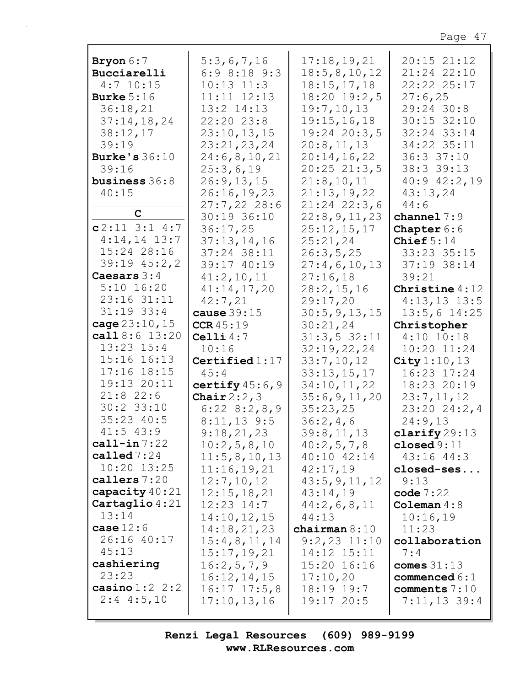| Bryon 6:7            | 5:3,6,7,16         | 17:18, 19, 21    | 20:15 21:12      |
|----------------------|--------------------|------------------|------------------|
| Bucciarelli          | $6:9$ $8:18$ $9:3$ | 18:5, 8, 10, 12  | 21:24 22:10      |
| $4:7$ 10:15          | $10:13$ $11:3$     | 18:15,17,18      | 22:22 25:17      |
| Burke $5:16$         | $11:11$ $12:13$    | 18:20 19:2,5     | 27:6,25          |
| 36:18,21             | $13:2$ $14:13$     | 19:7,10,13       | 29:24 30:8       |
| 37:14,18,24          | 22:20 23:8         | 19:15,16,18      | $30:15$ $32:10$  |
| 38:12,17             | 23:10, 13, 15      | $19:24$ 20:3,5   | 32:24 33:14      |
| 39:19                | 23:21,23,24        | 20:8,11,13       | 34:22 35:11      |
| <b>Burke's 36:10</b> | 24:6,8,10,21       | 20:14,16,22      | 36:337:10        |
| 39:16                | 25:3,6,19          | $20:25$ $21:3,5$ | 38:3 39:13       |
| business 36:8        | 26:9, 13, 15       | 21:8,10,11       | $40:9$ $42:2,19$ |
| 40:15                | 26:16,19,23        | 21:13,19,22      | 43:13,24         |
|                      | $27:7,22$ 28:6     | $21:24$ 22:3,6   | 44:6             |
| $\mathbf C$          | 30:19 36:10        | 22:8,9,11,23     | channel $7:9$    |
| $c2:11$ 3:1 4:7      | 36:17,25           | 25:12,15,17      | Chapter 6:6      |
| $4:14,14$ 13:7       | 37:13,14,16        | 25:21,24         | Chief $5:14$     |
| 15:24 28:16          | 37:24 38:11        | 26:3,5,25        | 33:23 35:15      |
| $39:19$ $45:2,2$     | 39:17 40:19        | 27:4,6,10,13     | 37:19 38:14      |
| Caesars $3:4$        | 41:2,10,11         | 27:16,18         | 39:21            |
| $5:10$ 16:20         | 41:14,17,20        | 28:2,15,16       | Christine $4:12$ |
| $23:16$ $31:11$      | 42:7,21            | 29:17,20         | $4:13,13$ 13:5   |
| $31:19$ 33:4         | cause $39:15$      | 30:5, 9, 13, 15  | $13:5,6$ 14:25   |
| cage $23:10,15$      | CCR45:19           | 30:21,24         | Christopher      |
| call $8:6$ 13:20     | Celli $4:7$        | 31:3,532:11      | $4:10$ $10:18$   |
| $13:23$ $15:4$       | 10:16              | 32:19,22,24      | $10:20$ $11:24$  |
| $15:16$ $16:13$      | Certified $1:17$   | 33:7,10,12       | City $1:10, 13$  |
| $17:16$ $18:15$      | 45:4               | 33:13,15,17      | 16:23 17:24      |
| 19:13 20:11          | certify $45:6$ , 9 | 34:10,11,22      | 18:23 20:19      |
| $21:8$ 22:6          | Chair $2:2,3$      | 35:6, 9, 11, 20  | 23:7,11,12       |
| $30:2$ 33:10         | $6:22$ $8:2,8,9$   | 35:23,25         | 23:2024:2,4      |
| $35:23$ 40:5         | $8:11,13$ 9:5      | 36:2,4,6         | 24:9,13          |
| $41:5$ $43:9$        | 9:18,21,23         | 39:8,11,13       | clarify $29:13$  |
| $cal1$ -in $7:22$    | 10:2,5,8,10        | 40:2,5,7,8       | closed $9:11$    |
| called $7:24$        | 11:5,8,10,13       | 40:10 42:14      | 43:16 44:3       |
| $10:20$ $13:25$      | 11:16,19,21        | 42:17,19         | closed-ses       |
| callers 7:20         | 12:7,10,12         | 43:5, 9, 11, 12  | 9:13             |
| capacity $40:21$     | 12:15,18,21        | 43:14,19         | code $7:22$      |
| Cartaglio 4:21       | $12:23$ $14:7$     | 44:2,6,8,11      | Coleman $4:8$    |
| 13:14                | 14:10, 12, 15      | 44:13            | 10:16,19         |
| case $12:6$          | 14:18,21,23        | chairman $8:10$  | 11:23            |
| 26:16 40:17          | 15:4,8,11,14       | $9:2,23$ $11:10$ | collaboration    |
| 45:13                | 15:17,19,21        | 14:12 15:11      | 7:4              |
| cashiering           | 16:2,5,7,9         | 15:20 16:16      | comes $31:13$    |
| 23:23                | 16:12,14,15        | 17:10,20         | commenced $6:1$  |
| casino $1:2$ 2:2     | $16:17$ $17:5$ , 8 | 18:19 19:7       | comments 7:10    |
| $2:4$ 4:5,10         | 17:10, 13, 16      | 19:1720:5        | $7:11,13$ 39:4   |
|                      |                    |                  |                  |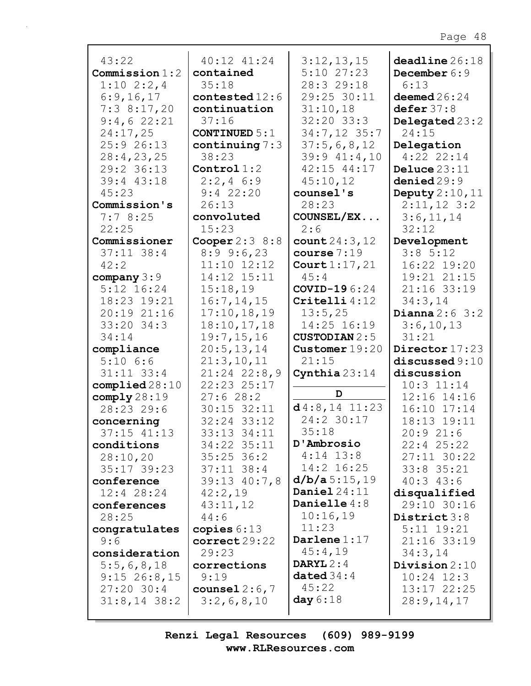| 43:22<br>Commission 1:2<br>$1:10$ $2:2,4$<br>6:9,16,17<br>7:38:17,20<br>9:4,622:21<br>24:17,25<br>25:9 26:13<br>28:4,23,25<br>29:2 36:13<br>39:4 43:18<br>45:23 | 40:12 41:24<br>contained<br>35:18<br>contested 12:6<br>continuation<br>37:16<br>CONTINUED $5:1$<br>continuing $7:3$<br>38:23<br>Control $1:2$<br>$2:2, 4$ 6:9<br>$9:4$ 22:20 | 3:12,13,15<br>$5:10$ 27:23<br>28:3 29:18<br>29:25 30:11<br>31:10,18<br>32:20 33:3<br>34:7,12 35:7<br>37:5,6,8,12<br>$39:9$ $41:4,10$<br>$42:15$ $44:17$<br>45:10,12<br>counsel's | deadline 26:18<br>December 6:9<br>6:13<br>deemed $26:24$<br>defer 37:8<br>Delegated 23:2<br>24:15<br>Delegation<br>$4:22$ 22:14<br>Deluce $23:11$<br>denied29:9<br>Deputy $2:10,11$ |
|-----------------------------------------------------------------------------------------------------------------------------------------------------------------|------------------------------------------------------------------------------------------------------------------------------------------------------------------------------|----------------------------------------------------------------------------------------------------------------------------------------------------------------------------------|-------------------------------------------------------------------------------------------------------------------------------------------------------------------------------------|
| Commission's<br>7:78:25                                                                                                                                         | 26:13<br>convoluted                                                                                                                                                          | 28:23<br>COUNSEL/EX                                                                                                                                                              | $2:11,12$ 3:2<br>3:6,11,14                                                                                                                                                          |
| 22:25                                                                                                                                                           | 15:23                                                                                                                                                                        | 2:6                                                                                                                                                                              | 32:12                                                                                                                                                                               |
| Commissioner                                                                                                                                                    | Cooper $2:3$ 8:8                                                                                                                                                             | count 24:3, 12                                                                                                                                                                   | Development                                                                                                                                                                         |
| $37:11$ 38:4                                                                                                                                                    | $8:9$ 9:6,23                                                                                                                                                                 | course $7:19$                                                                                                                                                                    | 3:85:12                                                                                                                                                                             |
| 42:2                                                                                                                                                            | $11:10$ $12:12$                                                                                                                                                              | Court $1:17,21$                                                                                                                                                                  | 16:22 19:20                                                                                                                                                                         |
| company $3:9$                                                                                                                                                   | 14:12 15:11                                                                                                                                                                  | 45:4                                                                                                                                                                             | 19:21 21:15                                                                                                                                                                         |
| $5:12$ $16:24$                                                                                                                                                  | 15:18,19                                                                                                                                                                     | COVID-196:24                                                                                                                                                                     | 21:16 33:19                                                                                                                                                                         |
| 18:23 19:21                                                                                                                                                     | 16:7, 14, 15                                                                                                                                                                 | $\texttt{Critelli}$ 4:12                                                                                                                                                         | 34:3,14                                                                                                                                                                             |
| 20:19 21:16                                                                                                                                                     | 17:10, 18, 19                                                                                                                                                                | 13:5,25                                                                                                                                                                          | Dianna $2:6$ 3:2                                                                                                                                                                    |
| $33:20$ $34:3$                                                                                                                                                  | 18:10, 17, 18                                                                                                                                                                | 14:25 16:19                                                                                                                                                                      | 3:6,10,13                                                                                                                                                                           |
| 34:14                                                                                                                                                           | 19:7,15,16                                                                                                                                                                   | <b>CUSTODIAN 2:5</b>                                                                                                                                                             | 31:21                                                                                                                                                                               |
| compliance                                                                                                                                                      | 20:5, 13, 14                                                                                                                                                                 | Customer $19:20$                                                                                                                                                                 | Director 17:23                                                                                                                                                                      |
| $5:10$ $6:6$                                                                                                                                                    | 21:3,10,11                                                                                                                                                                   | 21:15                                                                                                                                                                            | discussed 9:10                                                                                                                                                                      |
| $31:11$ $33:4$                                                                                                                                                  | $21:24$ 22:8,9                                                                                                                                                               | Cynthia $23:14$                                                                                                                                                                  | discussion                                                                                                                                                                          |
| complied28:10                                                                                                                                                   | 22:23 25:17                                                                                                                                                                  |                                                                                                                                                                                  | $10:3$ $11:14$                                                                                                                                                                      |
| comply28:19                                                                                                                                                     | 27:628:2                                                                                                                                                                     | D                                                                                                                                                                                | 12:16 14:16                                                                                                                                                                         |
| 28:23 29:6                                                                                                                                                      | $30:15$ $32:11$                                                                                                                                                              | $d4:8,14$ 11:23                                                                                                                                                                  | 16:10 17:14                                                                                                                                                                         |
| concerning                                                                                                                                                      | 32:24 33:12                                                                                                                                                                  | 24:2 30:17                                                                                                                                                                       | 18:13 19:11                                                                                                                                                                         |
| 37:15 41:13                                                                                                                                                     | 33:13 34:11                                                                                                                                                                  | 35:18                                                                                                                                                                            | 20:921:6                                                                                                                                                                            |
| conditions                                                                                                                                                      | 34:22 35:11                                                                                                                                                                  | D'Ambrosio<br>$4:14$ 13:8                                                                                                                                                        | $22:4$ $25:22$                                                                                                                                                                      |
| 28:10,20                                                                                                                                                        | $35:25$ 36:2                                                                                                                                                                 | 14:2 16:25                                                                                                                                                                       | $27:11$ 30:22                                                                                                                                                                       |
| $35:17$ 39:23                                                                                                                                                   | $37:11$ $38:4$                                                                                                                                                               | d/b/a5:15,19                                                                                                                                                                     | $33:8$ $35:21$                                                                                                                                                                      |
| conference                                                                                                                                                      | $39:13$ 40:7,8                                                                                                                                                               | Daniel $24:11$                                                                                                                                                                   | 40:343:6                                                                                                                                                                            |
| $12:4$ 28:24                                                                                                                                                    | 42:2,19<br>43:11,12                                                                                                                                                          | Danielle $4:8$                                                                                                                                                                   | disqualified<br>29:10 30:16                                                                                                                                                         |
| conferences<br>28:25                                                                                                                                            | 44:6                                                                                                                                                                         | 10:16,19                                                                                                                                                                         | District 3:8                                                                                                                                                                        |
| congratulates                                                                                                                                                   | copies $6:13$                                                                                                                                                                | 11:23                                                                                                                                                                            | $5:11$ $19:21$                                                                                                                                                                      |
| 9:6                                                                                                                                                             | correct 29:22                                                                                                                                                                | Darlene $1:17$                                                                                                                                                                   | $21:16$ 33:19                                                                                                                                                                       |
| consideration                                                                                                                                                   | 29:23                                                                                                                                                                        | 45:4,19                                                                                                                                                                          | 34:3,14                                                                                                                                                                             |
| 5:5,6,8,18                                                                                                                                                      | corrections                                                                                                                                                                  | DARYL $2:4$                                                                                                                                                                      | Division $2:10$                                                                                                                                                                     |
| $9:15$ 26:8,15                                                                                                                                                  | 9:19                                                                                                                                                                         | dated $34:4$                                                                                                                                                                     | $10:24$ $12:3$                                                                                                                                                                      |
| $27:20$ 30:4                                                                                                                                                    | counsel $2:6,7$                                                                                                                                                              | 45:22                                                                                                                                                                            | 13:17 22:25                                                                                                                                                                         |
| $31:8,14$ 38:2                                                                                                                                                  | 3:2,6,8,10                                                                                                                                                                   | day $6:18$                                                                                                                                                                       | 28:9,14,17                                                                                                                                                                          |
|                                                                                                                                                                 |                                                                                                                                                                              |                                                                                                                                                                                  |                                                                                                                                                                                     |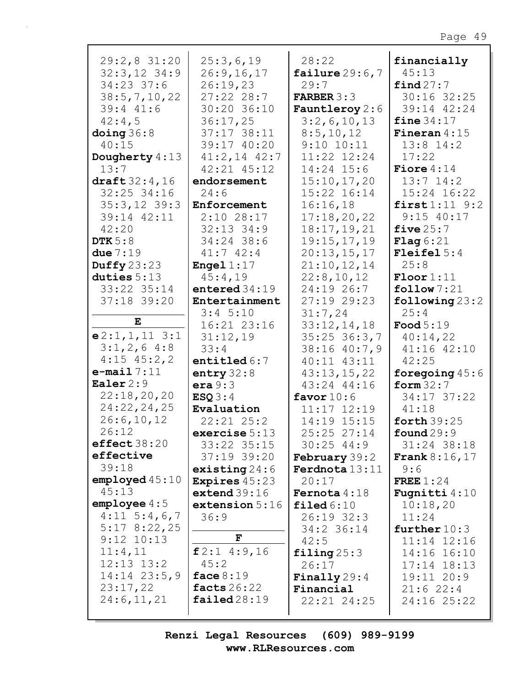| 29:2,831:20              | 25:3,6,19                    | 28:22                     | financially              |
|--------------------------|------------------------------|---------------------------|--------------------------|
| $32:3,12$ 34:9           | 26:9, 16, 17                 | failure $29:6,7$          | 45:13                    |
| $34:23$ 37:6             | 26:19,23                     | 29:7                      | final27:7                |
| 38:5, 7, 10, 22          | $27:22$ 28:7                 | <b>FARBER 3:3</b>         | 30:16 32:25              |
| $39:4$ $41:6$            | 30:20 36:10                  | Fauntleroy 2:6            | 39:14 42:24              |
| 42:4,5                   | 36:17,25                     | 3:2,6,10,13               | fine $34:17$             |
| $\Delta$ doing $36:8$    | 37:17 38:11                  | 8:5,10,12                 | Fineran $4:15$           |
| 40:15                    | 39:17 40:20                  | $9:10$ $10:11$            | $13:8$ 14:2              |
| Dougherty 4:13           | $41:2,14$ $42:7$             | 11:22 12:24               | 17:22                    |
| 13:7                     | 42:21 45:12                  | $14:24$ 15:6              | Fiore $4:14$             |
| $\text{draff} 32:4,16$   | endorsement                  | 15:10,17,20               | $13:7$ $14:2$            |
| $32:25$ $34:16$          | 24:6                         | 15:22 16:14               | 15:24 16:22              |
| $35:3,12$ 39:3           | Enforcement                  | 16:16,18                  | $first1:11$ $9:2$        |
| 39:14 42:11              | $2:10$ 28:17                 | 17:18,20,22               | $9:15$ 40:17             |
| 42:20                    | $32:13$ $34:9$               | 18:17,19,21               | five $25:7$              |
| DTK $5:8$                | 34:24 38:6                   | 19:15,17,19               | <b>Flag</b> $6:21$       |
| due $7:19$               | 41:742:4                     | 20:13,15,17               | Fleifel $5:4$            |
| Duffy $23:23$            | Engel $1:17$                 | 21:10,12,14               | 25:8                     |
| duties $5:13$            | 45:4,19                      | 22:8,10,12                | $\text{Floor}1:11$       |
| 33:22 35:14              | entered $34:19$              | 24:19 26:7<br>27:19 29:23 | $\texttt{follow} 7:21$   |
| 37:18 39:20              | Entertainment<br>$3:4$ 5:10  | 31:7,24                   | following $23:2$<br>25:4 |
| E                        | 16:21 23:16                  | 33:12,14,18               | Food $5:19$              |
| $e2:1,1,11$ 3:1          | 31:12,19                     | $35:25$ $36:3,7$          | 40:14,22                 |
| $3:1,2,6$ 4:8            | 33:4                         | 38:16 40:7,9              | 41:16 42:10              |
| $4:15$ $45:2,2$          | entitled $6:7$               | 40:11 43:11               | 42:25                    |
| $e$ -mail $7:11$         | entry $32:8$                 | 43:13,15,22               | foregoing $45:6$         |
| Ealer $2:9$              | era 9:3                      | 43:24 44:16               | form $32:7$              |
| 22:18,20,20              | ESQ3:4                       | favor $10:6$              | 34:17 37:22              |
| 24:22,24,25              | Evaluation                   | 11:17 12:19               | 41:18                    |
| 26:6, 10, 12             | $22:21$ $25:2$               | 14:19 15:15               | forth $39:25$            |
| 26:12                    | exercise $5:13$              | 25:25 27:14               | found $29:9$             |
| effect38:20              | 33:22 35:15                  | $30:25$ 44:9              | 31:24 38:18              |
| effective                | 37:19 39:20                  | <b>February</b> 39:2      | <b>Frank</b> $8:16,17$   |
| 39:18                    | existing $24:6$              | Ferdnota 13:11            | 9:6                      |
| employd 45:10            | <b>Expires</b> $45:23$       | 20:17                     | FREE $1:24$              |
| 45:13                    | extend 39:16                 | <b>Fernota</b> $4:18$     | <b>Fugnitti</b> $4:10$   |
| emplope 4:5              | extension 5:16               | $\texttt{filed6:10}$      | 10:18,20                 |
| $4:11 \quad 5:4,6,7$     | 36:9                         | $26:19$ 32:3              | 11:24                    |
| 5:178:22,25              |                              | 34:2 36:14                | further $10:3$           |
| $9:12$ $10:13$           | F                            | 42:5                      | $11:14$ $12:16$          |
| 11:4,11                  | f2:14:9,16                   | filing $25:3$             | 14:16 16:10              |
| $12:13$ $13:2$           | 45:2                         | 26:17                     | $17:14$ $18:13$          |
| $14:14$ $23:5,9$         | face $8:19$<br>facts $26:22$ | Finally $29:4$            | 19:11 20:9               |
| 23:17,22<br>24:6, 11, 21 | $\texttt{failed28:19}$       | Financial                 | $21:6$ 22:4              |
|                          |                              | 22:21 24:25               | 24:16 25:22              |
|                          |                              |                           |                          |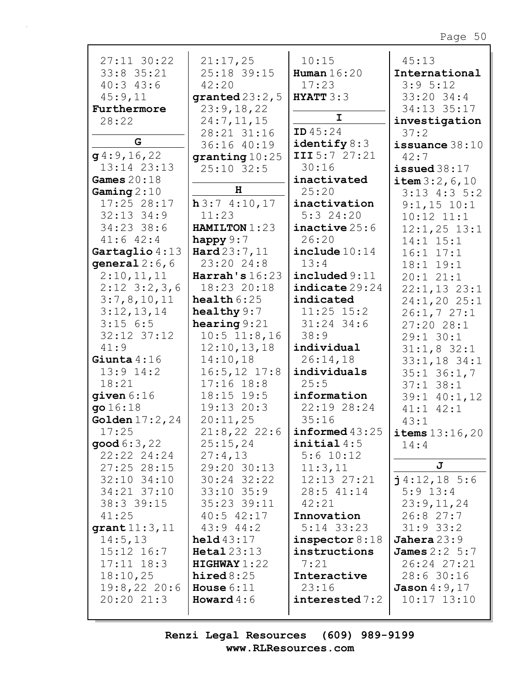| $27:11$ 30:22                  | 21:17,25                      | 10:15                 | 45:13                             |
|--------------------------------|-------------------------------|-----------------------|-----------------------------------|
| $33:8$ $35:21$                 | 25:18 39:15                   | Human $16:20$         | International                     |
| $40:3$ $43:6$                  | 42:20                         | 17:23                 | 3:95:12                           |
| 45:9,11                        | granted $23:2,5$              | HYATT3:3              | $33:20$ $34:4$                    |
| Furthermore                    | 23:9,18,22                    |                       | 34:13 35:17                       |
| 28:22                          | 24:7,11,15                    | I                     | investigation                     |
|                                | 28:21 31:16                   | <b>ID</b> $45:24$     | 37:2                              |
| G                              | 36:16 40:19                   | identify $8:3$        | issuance $38:10$                  |
| g4:9,16,22                     | granting 10:25                | III 5:7 27:21         | 42:7                              |
| $13:14$ $23:13$                | $25:10$ 32:5                  | 30:16                 | issued $38:17$                    |
| Games $20:18$                  | H                             | inactivated           | item 3:2, 6, 10                   |
| Gaming $2:10$<br>$17:25$ 28:17 |                               | 25:20<br>inactivation | $3:13$ 4:3 5:2                    |
| $32:13$ $34:9$                 | h3:74:10,17<br>11:23          | $5:3$ 24:20           | $9:1,15$ 10:1                     |
| 34:23 38:6                     | HAMILTON 1:23                 | $inactive$ 25:6       | $10:12$ $11:1$                    |
| $41:6$ $42:4$                  | happy $9:7$                   | 26:20                 | $12:1,25$ $13:1$<br>$14:1$ $15:1$ |
| Gartaglio 4:13                 | $\texttt{Hard23:7,11}$        | include 10:14         | $16:1$ $17:1$                     |
| general $2:6, 6$               | 23:20 24:8                    | 13:4                  | 18:1 19:1                         |
| 2:10,11,11                     | Harrah's $16:23$              | include 9:11          | 20:121:1                          |
| $2:12 \quad 3:2,3,6$           | 18:23 20:18                   | indicate 29:24        | $22:1,13$ $23:1$                  |
| 3:7,8,10,11                    | health $6:25$                 | indicated             | $24:1,20$ $25:1$                  |
| 3:12,13,14                     | healthy $9:7$                 | $11:25$ 15:2          | 26:1,727:1                        |
| $3:15$ 6:5                     | hearing $9:21$                | $31:24$ 34:6          | 27:2028:1                         |
| $32:12$ $37:12$                | $10:5$ 11:8,16                | 38:9                  | $29:1$ 30:1                       |
| 41:9                           | 12:10, 13, 18                 | individual            | $31:1,8$ 32:1                     |
| Giunta $4:16$                  | 14:10,18                      | 26:14,18              | $33:1,18$ 34:1                    |
| $13:9$ $14:2$                  | $16:5, 12$ 17:8               | individuals           | $35:1$ 36:1,7                     |
| 18:21                          | $17:16$ $18:8$                | 25:5                  | $37:1$ $38:1$                     |
| $q$ iven $6:16$                | 18:15 19:5                    | information           | 39:1 40:1,12                      |
| go 16:18                       | 19:13 20:3                    | 22:19 28:24           | $41:1$ $42:1$                     |
| Golden $17:2, 24$              | 20:11,25                      | 35:16                 | 43:1                              |
| 17:25                          | 21:8,222:22:6                 | informed 43:25        | <b>items</b> $13:16,20$           |
| $\mathsf{good}\,6:3$ , 22      | 25:15,24                      | initial $4:5$         | 14:4                              |
| 22:22 24:24                    | 27:4,13                       | $5:6$ 10:12           | J                                 |
| $27:25$ 28:15                  | 29:20 30:13                   | 11:3,11               |                                   |
| $32:10$ $34:10$                | $30:24$ $32:22$               | $12:13$ $27:21$       | $j$ 4:12, 18 5:6                  |
| 34:21 37:10                    | $33:10$ $35:9$                | $28:5$ 41:14          | $5:9$ 13:4<br>23:9,11,24          |
| 38:3 39:15<br>41:25            | 35:23 39:11<br>$40:5$ $42:17$ | 42:21<br>Innovation   | 26:827:7                          |
| grant $11:3,11$                | 43:944:2                      | $5:14$ 33:23          | $31:9$ 33:2                       |
| 14:5, 13                       | $\text{held }43:17$           | inspector $8:18$      | $Jahera$ $23:9$                   |
| $15:12$ $16:7$                 | $Heatal 23:13$                | instructions          | <b>James</b> 2:2 5:7              |
| $17:11$ $18:3$                 | HIGHWAY1:22                   | 7:21                  | 26:24 27:21                       |
| 18:10,25                       | hired $8:25$                  | Interactive           | 28:630:16                         |
| 19:8,2220:6                    | House $6:11$                  | 23:16                 | Jason $4:9,17$                    |
| 20:20 21:3                     | <b>Howard</b> $4:6$           | interested 7:2        | $10:17$ $13:10$                   |
|                                |                               |                       |                                   |

 $\overline{\phantom{a}}$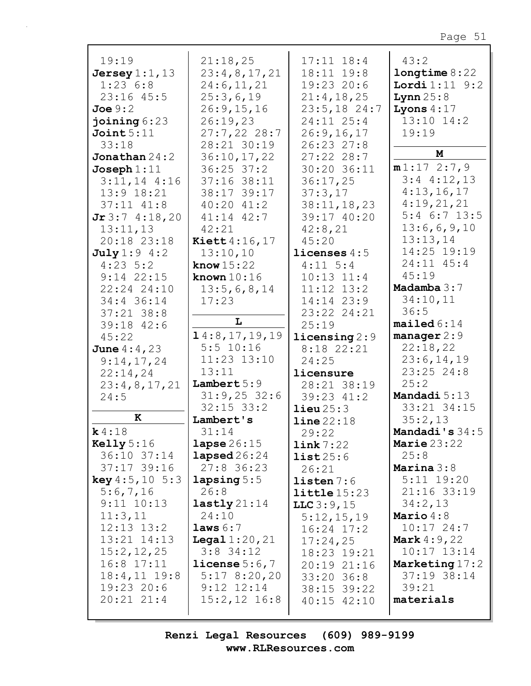| 19:19<br>Jersey $1:1$ , $13$<br>1:236:8<br>$23:16$ 45:5<br>Joe 9:2<br>joining $6:23$<br>Joint 5:11<br>33:18<br><b>Jonathan</b> $24:2$<br>Joseph $1:11$<br>$3:11,14$ 4:16<br>13:9 18:21<br>$37:11$ $41:8$ | 21:18,25<br>23:4,8,17,21<br>24:6,11,21<br>25:3,6,19<br>26:9, 15, 16<br>26:19,23<br>$27:7,22$ 28:7<br>28:21 30:19<br>36:10,17,22<br>$36:25$ $37:2$<br>$37:16$ $38:11$<br>38:17 39:17<br>$40:20$ $41:2$ | $17:11$ $18:4$<br>18:11 19:8<br>19:23 20:6<br>21:4,18,25<br>$23:5,18$ 24:7<br>24:11 25:4<br>26:9, 16, 17<br>26:23 27:8<br>$27:22$ 28:7<br>30:20 36:11<br>36:17,25<br>37:3,17<br>38:11, 18, 23 | 43:2<br>longtime 8:22<br><b>Lordi</b> $1:11$ $9:2$<br>Lynn $25:8$<br>Lyons $4:17$<br>13:10 14:2<br>19:19<br>M<br>m1:172:7,9<br>$3:4$ 4:12,13<br>4:13,16,17<br>4:19,21,21 |
|----------------------------------------------------------------------------------------------------------------------------------------------------------------------------------------------------------|-------------------------------------------------------------------------------------------------------------------------------------------------------------------------------------------------------|-----------------------------------------------------------------------------------------------------------------------------------------------------------------------------------------------|--------------------------------------------------------------------------------------------------------------------------------------------------------------------------|
| Jr3:74:18,20<br>13:11,13<br>20:18 23:18                                                                                                                                                                  | $41:14$ $42:7$<br>42:21<br><b>Kiett</b> 4:16,17                                                                                                                                                       | 39:17 40:20<br>42:8,21<br>45:20                                                                                                                                                               | $5:4$ 6:7 13:5<br>13:6,6,9,10<br>13:13,14<br>14:25 19:19                                                                                                                 |
| July 1:9 4:2<br>$4:23 \quad 5:2$<br>$9:14$ 22:15<br>22:24 24:10<br>34:4 36:14                                                                                                                            | 13:10,10<br>know $15:22$<br>known $10:16$<br>13:5,6,8,14<br>17:23                                                                                                                                     | licenses $4:5$<br>$4:11 \quad 5:4$<br>$10:13$ $11:4$<br>$11:12$ $13:2$<br>$14:14$ 23:9                                                                                                        | 24:11 45:4<br>45:19<br>Madamba 3:7<br>34:10,11                                                                                                                           |
| $37:21$ 38:8<br>39:18 42:6<br>45:22<br><b>June</b> $4:4,23$                                                                                                                                              | L<br>14:8, 17, 19, 19<br>$5:5$ 10:16                                                                                                                                                                  | 23:22 24:21<br>25:19<br>$\text{licensing } 2:9$<br>8:18 22:21                                                                                                                                 | 36:5<br>mailed 6:14<br>manager $2:9$<br>22:18,22                                                                                                                         |
| 9:14,17,24<br>22:14,24<br>23:4,8,17,21<br>24:5                                                                                                                                                           | $11:23$ $13:10$<br>13:11<br>Lambert $5:9$<br>$31:9,25$ 32:6                                                                                                                                           | 24:25<br>licensure<br>28:21 38:19<br>39:23 41:2                                                                                                                                               | 23:6, 14, 19<br>$23:25$ 24:8<br>25:2<br>Mandadi 5:13                                                                                                                     |
| K<br>k4:18<br>$\text{Kelly} 5:16$                                                                                                                                                                        | $32:15$ $33:2$<br>Lambert's<br>31:14<br>lapse $26:15$                                                                                                                                                 | $\text{lieu}\,25:3$<br>line 22:18<br>29:22<br>link 7:22                                                                                                                                       | 33:21 34:15<br>35:2,13<br>Mandadi's 34:5<br>Marie $23:22$                                                                                                                |
| 36:10 37:14<br>$37:17$ 39:16<br><b>key</b> $4:5,10 \ 5:3$<br>5:6,7,16<br>$9:11$ $10:13$                                                                                                                  | lapsed $26:24$<br>$27:8$ 36:23<br>$l$ apsing $5:5$<br>26:8<br>$lastly$ 21:14                                                                                                                          | list25:6<br>26:21<br>listen 7:6<br>$l$ ittle $15:23$<br>$LLC$ 3:9,15                                                                                                                          | 25:8<br>Marina $3:8$<br>$5:11$ 19:20<br>21:16 33:19<br>34:2,13                                                                                                           |
| 11:3,11<br>$12:13$ $13:2$<br>$13:21$ $14:13$<br>15:2, 12, 25<br>$16:8$ 17:11<br>$18:4,11$ $19:8$<br>$19:23$ 20:6<br>$20:21$ $21:4$                                                                       | 24:10<br>laws $6:7$<br><b>Legal</b> $1:20,21$<br>$3:8$ 34:12<br>license $5:6,7$<br>5:178:20,20<br>$9:12$ $12:14$<br>$15:2, 12$ $16:8$                                                                 | 5:12,15,19<br>$16:24$ $17:2$<br>17:24,25<br>18:23 19:21<br>20:19 21:16<br>33:20 36:8<br>38:15 39:22<br>$40:15$ $42:10$                                                                        | Mario $4:8$<br>$10:17$ 24:7<br><b>Mark</b> $4:9,22$<br>$10:17$ $13:14$<br>Marketing 17:2<br>$37:19$ $38:14$<br>39:21<br>materials                                        |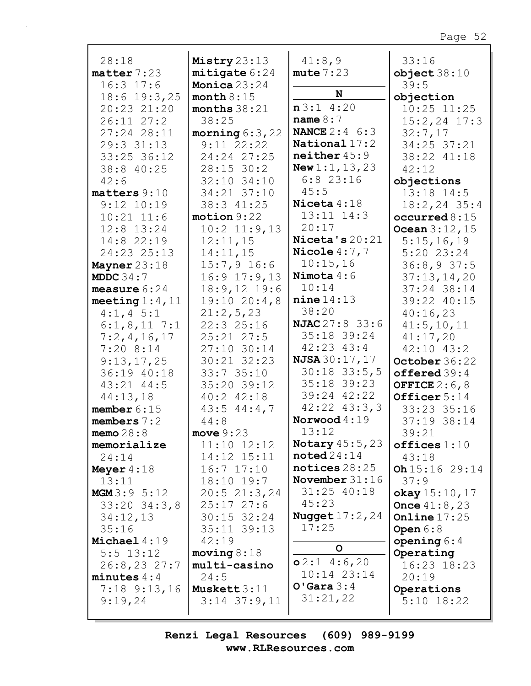| 28:18                         | Mistry 23:13              | 41:8,9                                | 33:16                      |
|-------------------------------|---------------------------|---------------------------------------|----------------------------|
| matter 7:23                   | mitigate 6:24             | mute 7:23                             | object38:10                |
| $16:3$ 17:6                   | Monica $23:24$            | N                                     | 39:5                       |
| $18:6$ 19:3,25                | month $8:15$              |                                       | objection                  |
| 20:23 21:20                   | months $38:21$            | n3:14:20                              | $10:25$ $11:25$            |
| $26:11$ $27:2$                | 38:25                     | name $8:7$                            | $15:2, 24$ 17:3            |
| 27:24 28:11                   | morning $6:3,22$          | <b>NANCE</b> $2:4 \ 6:3$              | 32:7,17                    |
| 29:3 31:13                    | $9:11$ 22:22              | National $17:2$<br>neither 45:9       | 34:25 37:21                |
| $33:25$ 36:12                 | 24:24 27:25               |                                       | 38:22 41:18                |
| 38:8 40:25                    | $28:15$ 30:2              | <b>New 1:1, 13, 23</b><br>$6:8$ 23:16 | 42:12                      |
| 42:6                          | 32:10 34:10               | 45:5                                  | objections                 |
| matters 9:10                  | 34:21 37:10               | Niceta $4:18$                         | 13:18 14:5                 |
| $9:12$ $10:19$                | 38:3 41:25                | $13:11$ $14:3$                        | $18:2, 24$ 35:4            |
| $10:21$ $11:6$                | motion 9:22               | 20:17                                 | occurred $8:15$            |
| $12:8$ $13:24$                | $10:2$ 11:9,13            | Niceta's $20:21$                      | Ocean $3:12,15$            |
| 14:8 22:19                    | 12:11,15                  | Nicole $4:7,7$                        | 5:15,16,19<br>$5:20$ 23:24 |
| 24:23 25:13                   | 14:11,15<br>$15:7,9$ 16:6 | 10:15,16                              | 36:8,937:5                 |
| Mayner $23:18$<br>MDDC $34:7$ | $16:9$ $17:9$ , 13        | Nimota $4:6$                          | 37:13,14,20                |
| measure $6:24$                | $18:9,12$ 19:6            | 10:14                                 | 37:24 38:14                |
| meeting $1:4$ , $11$          | 19:1020:4,8               | nine 14:13                            | 39:22 40:15                |
| $4:1, 4 \ 5:1$                | 21:2,5,23                 | 38:20                                 | 40:16,23                   |
| $6:1,8,11$ 7:1                | 22:325:16                 | <b>NJAC</b> 27:8 33:6                 | 41:5, 10, 11               |
| 7:2,4,16,17                   | $25:21$ $27:5$            | 35:18 39:24                           | 41:17,20                   |
| $7:20$ 8:14                   | 27:10 30:14               | 42:23 43:4                            | $42:10$ $43:2$             |
| 9:13,17,25                    | 30:21 32:23               | <b>NJSA</b> $30:17$ , $17$            | October 36:22              |
| 36:19 40:18                   | 33:735:10                 | $30:18$ 33:5,5                        | offered $39:4$             |
| $43:21$ $44:5$                | 35:20 39:12               | $35:18$ 39:23                         | OFFICE $2:6,8$             |
| 44:13,18                      | $40:2$ $42:18$            | 39:24 42:22                           | Officer 5:14               |
| member $6:15$                 | $43:5$ $44:4,7$           | $42:22$ $43:3,3$                      | 33:23 35:16                |
| members $7:2$                 | 44:8                      | Norwood $4:19$                        | 37:19 38:14                |
| memo $28:8$                   | move $9:23$               | 13:12                                 | 39:21                      |
| memorialize                   | $11:10$ $12:12$           | <b>Notary</b> 45:5,23                 | offices 1:10               |
| 24:14                         | 14:12 15:11               | $\texttt{noted}24:14$                 | 43:18                      |
| Meyer $4:18$                  | $16:7$ $17:10$            | notices $28:25$                       | Oh $15:16$ 29:14           |
| 13:11                         | 18:10 19:7                | November $31:16$                      | 37:9                       |
| MGM 3:9 5:12                  | 20:521:3,24               | $31:25$ 40:18                         | okay 15:10, 17             |
| $33:20$ $34:3$ , 8            | $25:17$ $27:6$            | 45:23                                 | <b>Once</b> $41:8,23$      |
| 34:12,13                      | $30:15$ 32:24             | <b>Nugget</b> $17:2, 24$              | Online $17:25$             |
| 35:16                         | 35:11 39:13               | 17:25                                 | Open $6:8$                 |
| Michael $4:19$                | 42:19                     | $\mathsf{o}$                          | opening $6:4$              |
| $5:5$ 13:12                   | moving 8:18               |                                       | Operating                  |
| 26:8,2327:7                   | multi-casino              | $o2:1$ 4:6,20                         | 16:23 18:23                |
| minutes $4:4$                 | 24:5                      | $10:14$ $23:14$<br>$O'$ Gara $3:4$    | 20:19                      |
| $7:18$ $9:13,16$              | Muskett $3:11$            | 31:21,22                              | Operations                 |
| 9:19,24                       | $3:14$ $37:9,11$          |                                       | $5:10$ 18:22               |
|                               |                           |                                       |                            |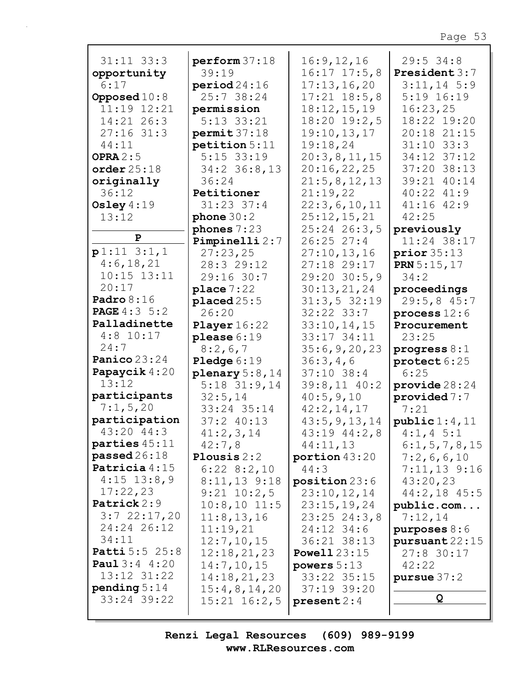| $31:11$ $33:3$           | perform 37:18                 | 16:9, 12, 16        | $29:5$ 34:8          |
|--------------------------|-------------------------------|---------------------|----------------------|
| opportunity              | 39:19                         | $16:17$ $17:5$ , 8  | President 3:7        |
| 6:17                     | period24:16                   | 17:13,16,20         | $3:11,14$ 5:9        |
| Opposed $10:8$           | 25:7 38:24                    | $17:21$ $18:5,8$    | $5:19$ $16:19$       |
| 11:19 12:21              | permission                    | 18:12,15,19         | 16:23,25             |
| 14:21 26:3               | 5:13 33:21                    | $18:20$ $19:2,5$    | 18:22 19:20          |
| $27:16$ 31:3             |                               |                     | 20:18 21:15          |
|                          | $permit$ 37:18                | 19:10, 13, 17       | $31:10$ $33:3$       |
| 44:11                    | petition 5:11<br>$5:15$ 33:19 | 19:18,24            |                      |
| OPRA $2:5$               |                               | 20:3,8,11,15        | 34:12 37:12          |
| order25:18               | $34:2$ 36:8,13                | 20:16,22,25         | 37:20 38:13          |
| originally               | 36:24                         | 21:5,8,12,13        | 39:21 40:14          |
| 36:12                    | Petitioner                    | 21:19,22            | 40:22 41:9           |
| Osley $4:19$             | $31:23$ $37:4$                | 22:3,6,10,11        | 41:16 42:9           |
| 13:12                    | phone $30:2$                  | 25:12,15,21         | 42:25                |
| P                        | phones $7:23$                 | 25:24 26:3,5        | previously           |
|                          | Pimpinelli 2:7                | $26:25$ 27:4        | 11:24 38:17          |
| $p1:11$ 3:1,1            | 27:23,25                      | 27:10, 13, 16       | prior35:13           |
| 4:6, 18, 21              | 28:3 29:12                    | 27:18 29:17         | <b>PRN</b> $5:15,17$ |
| $10:15$ $13:11$          | 29:16 30:7                    | $29:20$ 30:5,9      | 34:2                 |
| 20:17                    | place 7:22                    | 30:13,21,24         | proceedings          |
| Padro $8:16$             | $placed 25:5$                 | 31:3,532:19         | 29:5,845:7           |
| <b>PAGE</b> $4:3 \, 5:2$ | 26:20                         | $32:22$ $33:7$      | process $12:6$       |
| Palladinette             | Player $16:22$                | 33:10, 14, 15       | Procurement          |
| $4:8$ 10:17              | please $6:19$                 | 33:17 34:11         | 23:25                |
| 24:7                     | 8:2,6,7                       | 35:6, 9, 20, 23     | progress $8:1$       |
| Panico 23:24             | Pledge $6:19$                 | 36:3,4,6            | protect 6:25         |
| Papaycik 4:20            | plenary $5:8$ , 14            | $37:10$ 38:4        | 6:25                 |
| 13:12                    | $5:18$ 31:9,14                | $39:8,11$ 40:2      | provide $28:24$      |
| participants             | 32:5,14                       | 40:5,9,10           | provided $7:7$       |
| 7:1, 5, 20               | 33:24 35:14                   | 42:2,14,17          | 7:21                 |
| participation            | $37:2$ 40:13                  | 43:5, 9, 13, 14     | public 1:4,11        |
| 43:20 44:3               | 41:2,3,14                     | 43:19 44:2,8        | $4:1, 4 \ 5:1$       |
| parties 45:11            | 42:7,8                        | 44:11,13            | 6:1, 5, 7, 8, 15     |
| passed26:18              | Plousis $2:2$                 | portion 43:20       | 7:2,6,6,10           |
| Patricia 4:15            | $6:22$ $8:2,10$               | 44:3                | $7:11,13$ 9:16       |
| $4:15$ 13:8,9            | $8:11,13$ $9:18$              | position 23:6       | 43:20,23             |
| 17:22,23                 | $9:21$ $10:2,5$               | 23:10,12,14         | $44:2,18$ $45:5$     |
| Patrick 2:9              | $10:8,10$ 11:5                | 23:15,19,24         | public.com           |
| $3:7$ 22:17,20           | 11:8, 13, 16                  | $23:25$ $24:3,8$    | 7:12,14              |
| 24:24 26:12              | 11:19,21                      | 24:12 34:6          | purposes $8:6$       |
| 34:11                    | 12:7, 10, 15                  | 36:21 38:13         | pursuant 22:15       |
| <b>Patti</b> 5:5 25:8    | 12:18,21,23                   | <b>Powell</b> 23:15 | $27:8$ 30:17         |
| <b>Paul</b> 3:4 4:20     | 14:7,10,15                    | powers $5:13$       | 42:22                |
| 13:12 31:22              | 14:18,21,23                   | 33:22 35:15         | pursue $37:2$        |
| pending 5:14             | 15:4,8,14,20                  | 37:19 39:20         |                      |
| 33:24 39:22              | $15:21$ $16:2,5$              | present 2:4         | Q                    |
|                          |                               |                     |                      |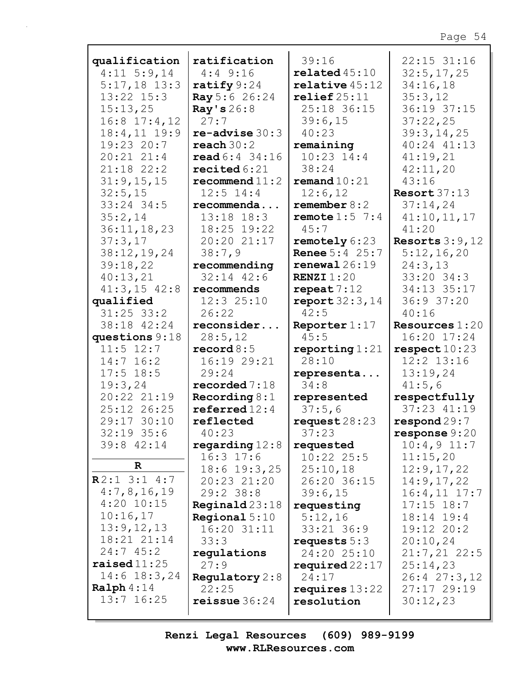| qualification           | ratification                   | 39:16                     | 22:15 31:16             |
|-------------------------|--------------------------------|---------------------------|-------------------------|
| $4:11$ 5:9,14           | $4:4$ 9:16                     | related45:10              | 32:5, 17, 25            |
| $5:17,18$ 13:3          | ratify $9:24$                  | $\texttt{relative}$ 45:12 | 34:16,18                |
| 13:22 15:3              | Ray 5:6 26:24                  | relief25:11               | 35:3,12                 |
| 15:13,25                | Ray's $26:8$                   | 25:18 36:15               | 36:19 37:15             |
| $16:8$ 17:4, 12         | 27:7                           | 39:6,15                   | 37:22,25                |
| $18:4, 11$ $19:9$       | $re$ -advise $30:3$            | 40:23                     | 39:3,14,25              |
| 19:23 20:7              | reach $30:2$                   | remaining                 | 40:24 41:13             |
| $20:21$ $21:4$          | $\text{read } 6:4 \quad 34:16$ |                           |                         |
|                         |                                | $10:23$ $14:4$            | 41:19,21                |
| $21:18$ $22:2$          | recited $6:21$                 | 38:24                     | 42:11,20                |
| 31:9,15,15              | recommand11:2                  | remand $10:21$            | 43:16                   |
| 32:5,15                 | $12:5$ $14:4$                  | 12:6,12                   | Resort $37:13$          |
| 33:24 34:5              | recommenda                     | remember $8:2$            | 37:14,24                |
| 35:2,14                 | $13:18$ $18:3$                 | remote $1:5$ 7:4          | 41:10,11,17             |
| 36:11, 18, 23           | 18:25 19:22                    | 45:7                      | 41:20                   |
| 37:3,17                 | 20:20 21:17                    | remotely $6:23$           | Resorts $3:9,12$        |
| 38:12,19,24             | 38:7,9                         | <b>Renee</b> $5:4$ 25:7   | 5:12,16,20              |
| 39:18,22                | recommending                   | renewal26:19              | 24:3,13                 |
| 40:13,21                | $32:14$ $42:6$                 | <b>RENZI</b> $1:20$       | $33:20$ $34:3$          |
| $41:3, 15$ $42:8$       | recommends                     | repeat $7:12$             | 34:13 35:17             |
| qualified               | 12:325:10                      | report $32:3,14$          | 36:9 37:20              |
| $31:25$ 33:2            | 26:22                          | 42:5                      | 40:16                   |
| 38:18 42:24             | reconsider                     |                           | <b>Resources</b> $1:20$ |
|                         |                                | Reporter $1:17$<br>45:5   |                         |
| questions 9:18          | 28:5,12                        |                           | 16:20 17:24             |
| $11:5$ $12:7$           | record $8:5$                   | reporting $1:21$          | respect 10:23           |
| $14:7$ 16:2             | 16:19 29:21                    | 28:10                     | $12:2$ $13:16$          |
| $17:5$ 18:5             | 29:24                          | representa                | 13:19,24                |
| 19:3,24                 | recorded 7:18                  | 34:8                      | 41:5,6                  |
| 20:22 21:19             | Recording $8:1$                | represented               | respectfully            |
| 25:12 26:25             | referred $12:4$                | 37:5,6                    | 37:23 41:19             |
| 29:17 30:10             | reflected                      | request $28:23$           | $\texttt{respond29:7}$  |
| $32:19$ 35:6            | 40:23                          | 37:23                     | response $9:20$         |
| 39:8 42:14              | regarding $12:8$               | requested                 | $10:4,9$ 11:7           |
|                         | $16:3$ 17:6                    | $10:22$ 25:5              | 11:15,20                |
| $\mathbf R$             | $18:6$ $19:3$ , 25             | 25:10,18                  | 12:9,17,22              |
| R2:13:14:7              | 20:23 21:20                    | 26:20 36:15               | 14:9,17,22              |
| 4:7,8,16,19             | 29:2 38:8                      | 39:6,15                   | $16:4, 11$ $17:7$       |
| $4:20$ 10:15            | $\texttt{Required23:18}$       | requesting                | $17:15$ $18:7$          |
| 10:16,17                | Regional 5:10                  | 5:12,16                   | 18:14 19:4              |
| 13:9,12,13              |                                |                           | 19:12 20:2              |
| 18:21 21:14             | 16:20 31:11                    | 33:21 36:9                |                         |
| 24:745:2                | 33:3                           | requests $5:3$            | 20:10,24                |
|                         | regulations                    | 24:20 25:10               | $21:7,21$ 22:5          |
| $\texttt{raiseed}11:25$ | 27:9                           | required $22:17$          | 25:14,23                |
| $14:6$ $18:3,24$        | Regulatory $2:8$               | 24:17                     | 26:4 27:3,12            |
| Ralph 4:14              | 22:25                          | requires $13:22$          | 27:17 29:19             |
| $13:7$ $16:25$          | reissue $36:24$                | resolution                | 30:12,23                |
|                         |                                |                           |                         |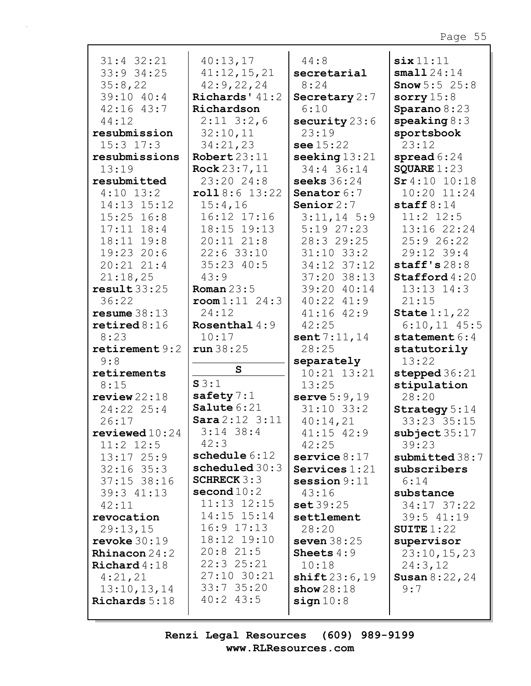| $31:4$ $32:21$<br>33:9 34:25   | 40:13,17<br>41:12,15,21        | 44:8<br>secretarial     | $\texttt{six}11:11$<br>small 24:14 |
|--------------------------------|--------------------------------|-------------------------|------------------------------------|
| 35:8,22                        | 42:9,22,24                     | 8:24                    | <b>Snow</b> $5:5$ 25:8             |
| 39:10 40:4                     | Richards' $41:2$               | Secretary 2:7           | sorry $15:8$                       |
| 42:16 43:7                     | Richardson                     | 6:10                    | Sparano 8:23                       |
| 44:12                          | $2:11$ $3:2,6$                 | security $23:6$         | $\text{speaking } 8:3$             |
| resubmission                   | 32:10,11                       | 23:19                   | sportsbook                         |
| $15:3$ $17:3$                  | 34:21,23                       | see 15:22               | 23:12                              |
| resubmissions                  | Robert 23:11                   | seeking $13:21$         | spread $6:24$                      |
| 13:19                          | Rock $23:7,11$                 | 34:4 36:14              | SQUARE $1:23$                      |
| resubmitted                    | 23:20 24:8                     | seeks 36:24             | $Sr4:10$ 10:18                     |
| $4:10$ 13:2                    | roll8:6 13:22                  | Senator 6:7             | 10:20 11:24                        |
| 14:13 15:12                    | 15:4,16                        | Senior $2:7$            | staff $8:14$                       |
| $15:25$ $16:8$                 | 16:12 17:16                    | $3:11,14$ 5:9           | $11:2$ $12:5$                      |
| $17:11$ $18:4$                 | 18:15 19:13                    | $5:19$ $27:23$          | 13:16 22:24                        |
| 18:11 19:8                     | $20:11$ $21:8$                 | 28:3 29:25              | 25:926:22                          |
| 19:23 20:6                     | $22:6$ 33:10                   | $31:10$ $33:2$          | 29:12 39:4                         |
| $20:21$ $21:4$                 | 35:23 40:5                     | $34:12$ $37:12$         | staff's $28:8$                     |
| 21:18,25                       | 43:9                           | 37:20 38:13             | $\texttt{Stafford4:20}$            |
| result33:25                    | Roman $23:5$                   | 39:20 40:14             | $13:13$ $14:3$                     |
| 36:22                          | $\texttt{room1:11} \quad 24:3$ | 40:22 41:9              | 21:15                              |
| resume 38:13                   | 24:12                          | $41:16$ $42:9$          | State $1:1,22$                     |
| $\texttt{retired8:16}$<br>8:23 | Rosenthal $4:9$<br>10:17       | 42:25                   | $6:10,11$ 45:5                     |
| retirement $9:2$               | run38:25                       | sent $7:11,14$<br>28:25 | statement $6:4$                    |
| 9:8                            |                                | separately              | statutorily<br>13:22               |
| retirements                    | $\mathbf{s}$                   | $10:21$ $13:21$         | stepped $36:21$                    |
| 8:15                           | S3:1                           | 13:25                   | stipulation                        |
| review22:18                    | safety $7:1$                   | serve $5:9,19$          | 28:20                              |
| 24:22 25:4                     | Salute 6:21                    | $31:10$ $33:2$          | Strategy 5:14                      |
| 26:17                          | Sara 2:12 3:11                 | 40:14,21                | 33:23 35:15                        |
| $revi$ ewed $10:24$            | $3:14$ 38:4                    | 41:15 42:9              | subject $35:17$                    |
| $11:2$ $12:5$                  | 42:3                           | 42:25                   | 39:23                              |
| $13:17$ $25:9$                 | schedule 6:12                  | service $8:17$          | submitted 38:7                     |
| $32:16$ 35:3                   | scheduled 30:3                 | Services $1:21$         | subscribers                        |
| 37:15 38:16                    | SCHRECK $3:3$                  | session $9:11$          | 6:14                               |
| 39:3 41:13                     | $\mathbf{second}\,10\!:\!2$    | 43:16                   | substance                          |
| 42:11                          | $11:13$ $12:15$                | set 39:25               | 34:17 37:22                        |
| revocation                     | 14:15 15:14                    | settlement              | 39:5 41:19                         |
| 29:13,15                       | $16:9$ $17:13$                 | 28:20                   | SUITE $1:22$                       |
| revoke $30:19$                 | 18:12 19:10                    | seven $38:25$           | supervisor                         |
| <b>Rhinacon</b> $24:2$         | $20:8$ 21:5                    | Sheets $4:9$            | 23:10,15,23                        |
| Richard $4:18$                 | 22:3 25:21                     | 10:18                   | 24:3,12                            |
| 4:21,21                        | 27:10 30:21                    | shift23:6,19            | <b>Susan 8:22, 24</b>              |
| 13:10, 13, 14                  | $33:7$ 35:20<br>$40:2$ 43:5    | show $28:18$            | 9:7                                |
| <b>Richards</b> 5:18           |                                | sign 10:8               |                                    |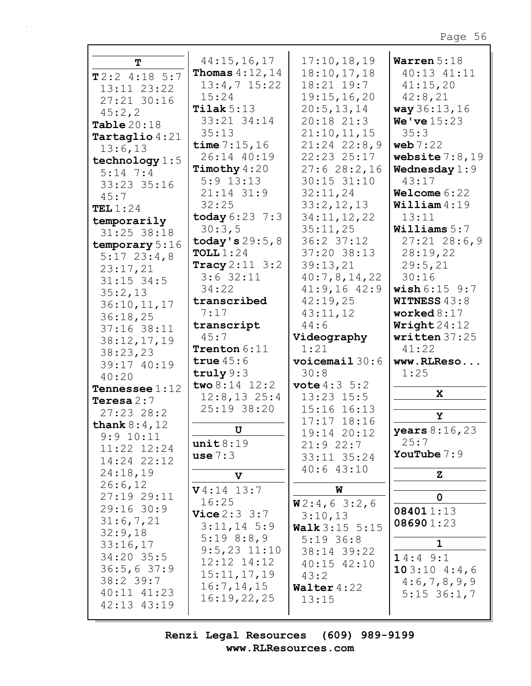| т                              | 44:15,16,17              | 17:10, 18, 19           | Warren $5:18$          |
|--------------------------------|--------------------------|-------------------------|------------------------|
|                                | <b>Thomas</b> $4:12, 14$ | 18:10,17,18             | 40:13 41:11            |
| $T2:2$ 4:18 5:7                | $13:4,7$ $15:22$         | 18:21 19:7              | 41:15,20               |
| 13:11 23:22                    |                          |                         |                        |
| 27:21 30:16                    | 15:24                    | 19:15,16,20             | 42:8,21                |
| 45:2,2                         | Tilak $5:13$             | 20:5, 13, 14            | way 36:13, 16          |
|                                | 33:21 34:14              | $20:18$ $21:3$          | <b>We've</b> $15:23$   |
| Table $20:18$                  | 35:13                    | 21:10,11,15             | 35:3                   |
| Tartaglio $4:21$               |                          |                         |                        |
| 13:6,13                        | time $7:15,16$           | $21:24$ $22:8,9$        | web $7:22$             |
| technology $1:5$               | 26:14 40:19              | 22:23 25:17             | website $7:8,19$       |
| $5:14$ 7:4                     | Timothy $4:20$           | 27:628:2,16             | Wednesday $1:9$        |
|                                | $5:9$ 13:13              | $30:15$ $31:10$         | 43:17                  |
| 33:23 35:16                    |                          |                         |                        |
| 45:7                           | $21:14$ $31:9$           | 32:11,24                | Welcome $6:22$         |
| TEL $1:24$                     | 32:25                    | 33:2,12,13              | William 4:19           |
| temporarily                    | today $6:23$ 7:3         | 34:11,12,22             | 13:11                  |
|                                | 30:3,5                   | 35:11,25                | Williams $5:7$         |
| 31:25 38:18                    |                          |                         |                        |
| temporary 5:16                 | today's $29:5,8$         | 36:2 37:12              | $27:21$ 28:6,9         |
| $5:17$ 23:4,8                  | TOLL $1:24$              | 37:20 38:13             | 28:19,22               |
| 23:17,21                       | Tracy $2:11 \ 3:2$       | 39:13,21                | 29:5,21                |
|                                | $3:6$ 32:11              | 40:7,8,14,22            | 30:16                  |
| $31:15$ 34:5                   | 34:22                    | $41:9,16$ $42:9$        | wish 6:15 9:7          |
| 35:2,13                        |                          |                         |                        |
| 36:10, 11, 17                  | transcribed              | 42:19,25                | <b>WITNESS 43:8</b>    |
| 36:18,25                       | 7:17                     | 43:11,12                | worked $8:17$          |
|                                | transcript               | 44:6                    | Writeht24:12           |
|                                |                          |                         |                        |
| 37:16 38:11                    |                          |                         |                        |
| 38:12,17,19                    | 45:7                     | Videography             | written 37:25          |
| 38:23,23                       | Trenton 6:11             | 1:21                    | 41:22                  |
|                                | true $45:6$              | voicemail 30:6          | www.RLReso             |
| 39:17 40:19                    | truly $9:3$              | 30:8                    | 1:25                   |
| 40:20                          |                          |                         |                        |
| <b>Tennessee</b> $1:12$        | two 8:14 12:2            | <b>vote</b> $4:3 \ 5:2$ |                        |
| Teresa $2:7$                   | $12:8, 13$ 25:4          | $13:23$ $15:5$          | X                      |
| $27:23$ $28:2$                 | 25:19 38:20              | 15:16 16:13             |                        |
|                                |                          | $17:17$ $18:16$         | Y                      |
| thank $8:4,12$                 | U                        |                         | <b>years</b> $8:16,23$ |
| 9:9 10:11                      |                          | 19:14 20:12             | 25:7                   |
| 11:22 12:24                    | unit 8:19                | $21:9$ 22:7             |                        |
| 14:24 22:12                    | use 7:3                  | 33:11 35:24             | YouTube $7:9$          |
|                                |                          | 40:643:10               |                        |
| 24:18,19                       | $\mathbf v$              |                         | $\mathbf{z}$           |
| 26:6,12                        | $V4:14$ 13:7             | W                       |                        |
| 27:19 29:11                    | 16:25                    |                         | $\mathbf 0$            |
| $29:16$ 30:9                   |                          | W2:4,63:2,6             | 084011:13              |
| 31:6,7,21                      | Vice 2:3 3:7             | 3:10,13                 |                        |
|                                | $3:11,14$ 5:9            | <b>Walk</b> $3:15$ 5:15 | 086901:23              |
| 32:9,18                        | 5:198:8,9                | $5:19$ 36:8             | $\mathbf 1$            |
| 33:16,17                       | $9:5,23$ 11:10           | 38:14 39:22             |                        |
| $34:20$ 35:5                   | $12:12$ $14:12$          |                         | 14:49::1               |
| 36:5,637:9                     |                          | $40:15$ $42:10$         | 103:104::46            |
| $38:2$ 39:7                    | 15:11,17,19              | 43:2                    | 4:6,7,8,9,9            |
|                                | 16:7, 14, 15             | Walter4:22              |                        |
| $40:11$ $41:23$<br>42:13 43:19 | 16:19,22,25              | 13:15                   | $5:15$ 36:1,7          |